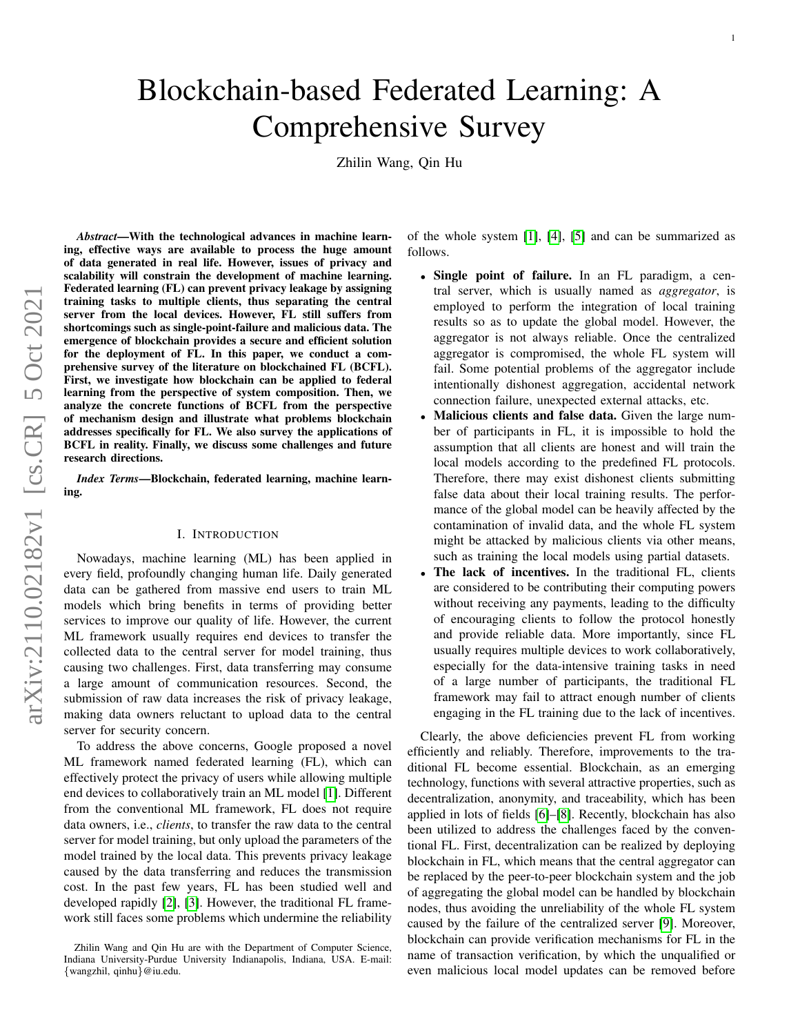# Blockchain-based Federated Learning: A Comprehensive Survey

Zhilin Wang, Qin Hu

arXiv:2110.02182v1 [cs.CR] 5 Oct 2021 arXiv:2110.02182v1 [cs.CR] 5 Oct 2021

*Abstract*—With the technological advances in machine learning, effective ways are available to process the huge amount of data generated in real life. However, issues of privacy and scalability will constrain the development of machine learning. Federated learning (FL) can prevent privacy leakage by assigning training tasks to multiple clients, thus separating the central server from the local devices. However, FL still suffers from shortcomings such as single-point-failure and malicious data. The emergence of blockchain provides a secure and efficient solution for the deployment of FL. In this paper, we conduct a comprehensive survey of the literature on blockchained FL (BCFL). First, we investigate how blockchain can be applied to federal learning from the perspective of system composition. Then, we analyze the concrete functions of BCFL from the perspective of mechanism design and illustrate what problems blockchain addresses specifically for FL. We also survey the applications of BCFL in reality. Finally, we discuss some challenges and future research directions.

*Index Terms*—Blockchain, federated learning, machine learning.

## I. INTRODUCTION

Nowadays, machine learning (ML) has been applied in every field, profoundly changing human life. Daily generated data can be gathered from massive end users to train ML models which bring benefits in terms of providing better services to improve our quality of life. However, the current ML framework usually requires end devices to transfer the collected data to the central server for model training, thus causing two challenges. First, data transferring may consume a large amount of communication resources. Second, the submission of raw data increases the risk of privacy leakage, making data owners reluctant to upload data to the central server for security concern.

To address the above concerns, Google proposed a novel ML framework named federated learning (FL), which can effectively protect the privacy of users while allowing multiple end devices to collaboratively train an ML model [\[1\]](#page-15-0). Different from the conventional ML framework, FL does not require data owners, i.e., *clients*, to transfer the raw data to the central server for model training, but only upload the parameters of the model trained by the local data. This prevents privacy leakage caused by the data transferring and reduces the transmission cost. In the past few years, FL has been studied well and developed rapidly [\[2\]](#page-15-1), [\[3\]](#page-15-2). However, the traditional FL framework still faces some problems which undermine the reliability of the whole system [\[1\]](#page-15-0), [\[4\]](#page-15-3), [\[5\]](#page-15-4) and can be summarized as follows.

- Single point of failure. In an FL paradigm, a central server, which is usually named as *aggregator*, is employed to perform the integration of local training results so as to update the global model. However, the aggregator is not always reliable. Once the centralized aggregator is compromised, the whole FL system will fail. Some potential problems of the aggregator include intentionally dishonest aggregation, accidental network connection failure, unexpected external attacks, etc.
- Malicious clients and false data. Given the large number of participants in FL, it is impossible to hold the assumption that all clients are honest and will train the local models according to the predefined FL protocols. Therefore, there may exist dishonest clients submitting false data about their local training results. The performance of the global model can be heavily affected by the contamination of invalid data, and the whole FL system might be attacked by malicious clients via other means, such as training the local models using partial datasets.
- The lack of incentives. In the traditional FL, clients are considered to be contributing their computing powers without receiving any payments, leading to the difficulty of encouraging clients to follow the protocol honestly and provide reliable data. More importantly, since FL usually requires multiple devices to work collaboratively, especially for the data-intensive training tasks in need of a large number of participants, the traditional FL framework may fail to attract enough number of clients engaging in the FL training due to the lack of incentives.

Clearly, the above deficiencies prevent FL from working efficiently and reliably. Therefore, improvements to the traditional FL become essential. Blockchain, as an emerging technology, functions with several attractive properties, such as decentralization, anonymity, and traceability, which has been applied in lots of fields [\[6\]](#page-15-5)–[\[8\]](#page-15-6). Recently, blockchain has also been utilized to address the challenges faced by the conventional FL. First, decentralization can be realized by deploying blockchain in FL, which means that the central aggregator can be replaced by the peer-to-peer blockchain system and the job of aggregating the global model can be handled by blockchain nodes, thus avoiding the unreliability of the whole FL system caused by the failure of the centralized server [\[9\]](#page-15-7). Moreover, blockchain can provide verification mechanisms for FL in the name of transaction verification, by which the unqualified or even malicious local model updates can be removed before

Zhilin Wang and Qin Hu are with the Department of Computer Science, Indiana University-Purdue University Indianapolis, Indiana, USA. E-mail: {wangzhil, qinhu}@iu.edu.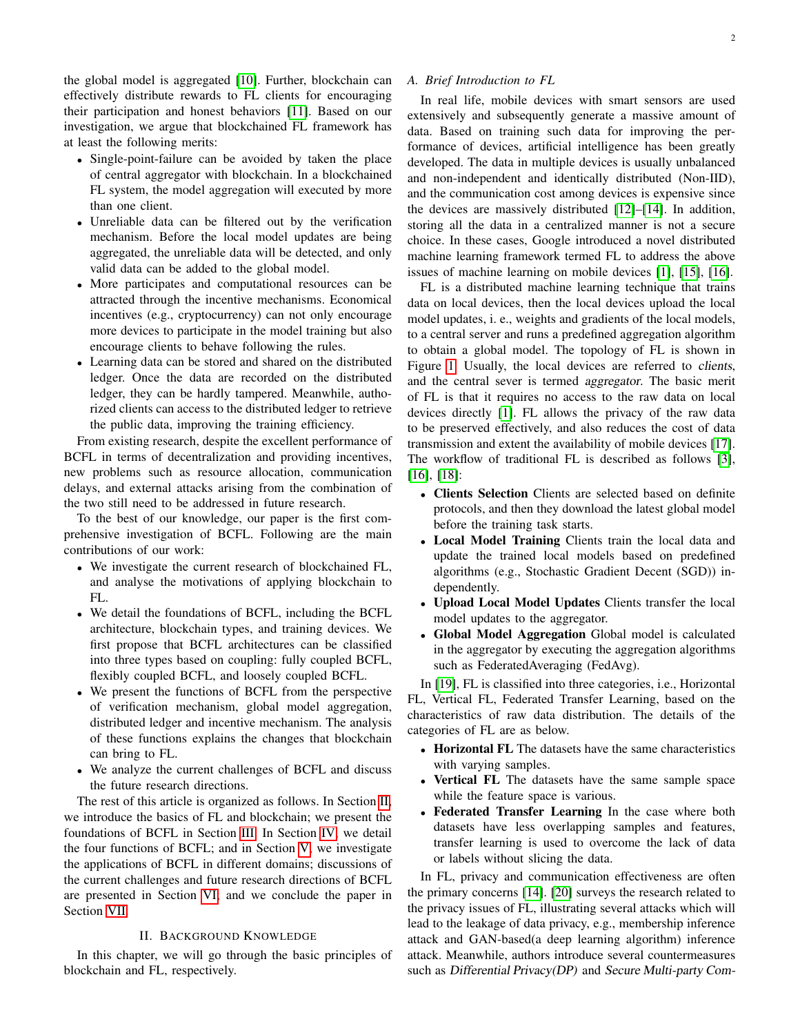the global model is aggregated [\[10\]](#page-15-8). Further, blockchain can effectively distribute rewards to FL clients for encouraging their participation and honest behaviors [\[11\]](#page-15-9). Based on our investigation, we argue that blockchained FL framework has at least the following merits:

- Single-point-failure can be avoided by taken the place of central aggregator with blockchain. In a blockchained FL system, the model aggregation will executed by more than one client.
- Unreliable data can be filtered out by the verification mechanism. Before the local model updates are being aggregated, the unreliable data will be detected, and only valid data can be added to the global model.
- More participates and computational resources can be attracted through the incentive mechanisms. Economical incentives (e.g., cryptocurrency) can not only encourage more devices to participate in the model training but also encourage clients to behave following the rules.
- Learning data can be stored and shared on the distributed ledger. Once the data are recorded on the distributed ledger, they can be hardly tampered. Meanwhile, authorized clients can access to the distributed ledger to retrieve the public data, improving the training efficiency.

From existing research, despite the excellent performance of BCFL in terms of decentralization and providing incentives, new problems such as resource allocation, communication delays, and external attacks arising from the combination of the two still need to be addressed in future research.

To the best of our knowledge, our paper is the first comprehensive investigation of BCFL. Following are the main contributions of our work:

- We investigate the current research of blockchained FL, and analyse the motivations of applying blockchain to FL.
- We detail the foundations of BCFL, including the BCFL architecture, blockchain types, and training devices. We first propose that BCFL architectures can be classified into three types based on coupling: fully coupled BCFL, flexibly coupled BCFL, and loosely coupled BCFL.
- We present the functions of BCFL from the perspective of verification mechanism, global model aggregation, distributed ledger and incentive mechanism. The analysis of these functions explains the changes that blockchain can bring to FL.
- We analyze the current challenges of BCFL and discuss the future research directions.

The rest of this article is organized as follows. In Section [II,](#page-1-0) we introduce the basics of FL and blockchain; we present the foundations of BCFL in Section [III.](#page-4-0) In Section [IV,](#page-10-0) we detail the four functions of BCFL; and in Section [V,](#page-12-0) we investigate the applications of BCFL in different domains; discussions of the current challenges and future research directions of BCFL are presented in Section [VI;](#page-13-0) and we conclude the paper in Section [VII.](#page-15-10)

# II. BACKGROUND KNOWLEDGE

<span id="page-1-0"></span>In this chapter, we will go through the basic principles of blockchain and FL, respectively.

# *A. Brief Introduction to FL*

In real life, mobile devices with smart sensors are used extensively and subsequently generate a massive amount of data. Based on training such data for improving the performance of devices, artificial intelligence has been greatly developed. The data in multiple devices is usually unbalanced and non-independent and identically distributed (Non-IID), and the communication cost among devices is expensive since the devices are massively distributed [\[12\]](#page-15-11)–[\[14\]](#page-15-12). In addition, storing all the data in a centralized manner is not a secure choice. In these cases, Google introduced a novel distributed machine learning framework termed FL to address the above issues of machine learning on mobile devices [\[1\]](#page-15-0), [\[15\]](#page-15-13), [\[16\]](#page-15-14).

FL is a distributed machine learning technique that trains data on local devices, then the local devices upload the local model updates, i. e., weights and gradients of the local models, to a central server and runs a predefined aggregation algorithm to obtain a global model. The topology of FL is shown in Figure [1.](#page-2-0) Usually, the local devices are referred to clients, and the central sever is termed aggregator. The basic merit of FL is that it requires no access to the raw data on local devices directly [\[1\]](#page-15-0). FL allows the privacy of the raw data to be preserved effectively, and also reduces the cost of data transmission and extent the availability of mobile devices [\[17\]](#page-15-15). The workflow of traditional FL is described as follows [\[3\]](#page-15-2), [\[16\]](#page-15-14), [\[18\]](#page-15-16):

- Clients Selection Clients are selected based on definite protocols, and then they download the latest global model before the training task starts.
- Local Model Training Clients train the local data and update the trained local models based on predefined algorithms (e.g., Stochastic Gradient Decent (SGD)) independently.
- Upload Local Model Updates Clients transfer the local model updates to the aggregator.
- Global Model Aggregation Global model is calculated in the aggregator by executing the aggregation algorithms such as FederatedAveraging (FedAvg).

In [\[19\]](#page-15-17), FL is classified into three categories, i.e., Horizontal FL, Vertical FL, Federated Transfer Learning, based on the characteristics of raw data distribution. The details of the categories of FL are as below.

- Horizontal FL The datasets have the same characteristics with varying samples.
- Vertical FL The datasets have the same sample space while the feature space is various.
- Federated Transfer Learning In the case where both datasets have less overlapping samples and features, transfer learning is used to overcome the lack of data or labels without slicing the data.

In FL, privacy and communication effectiveness are often the primary concerns [\[14\]](#page-15-12). [\[20\]](#page-15-18) surveys the research related to the privacy issues of FL, illustrating several attacks which will lead to the leakage of data privacy, e.g., membership inference attack and GAN-based(a deep learning algorithm) inference attack. Meanwhile, authors introduce several countermeasures such as Differential Privacy(DP) and Secure Multi-party Com-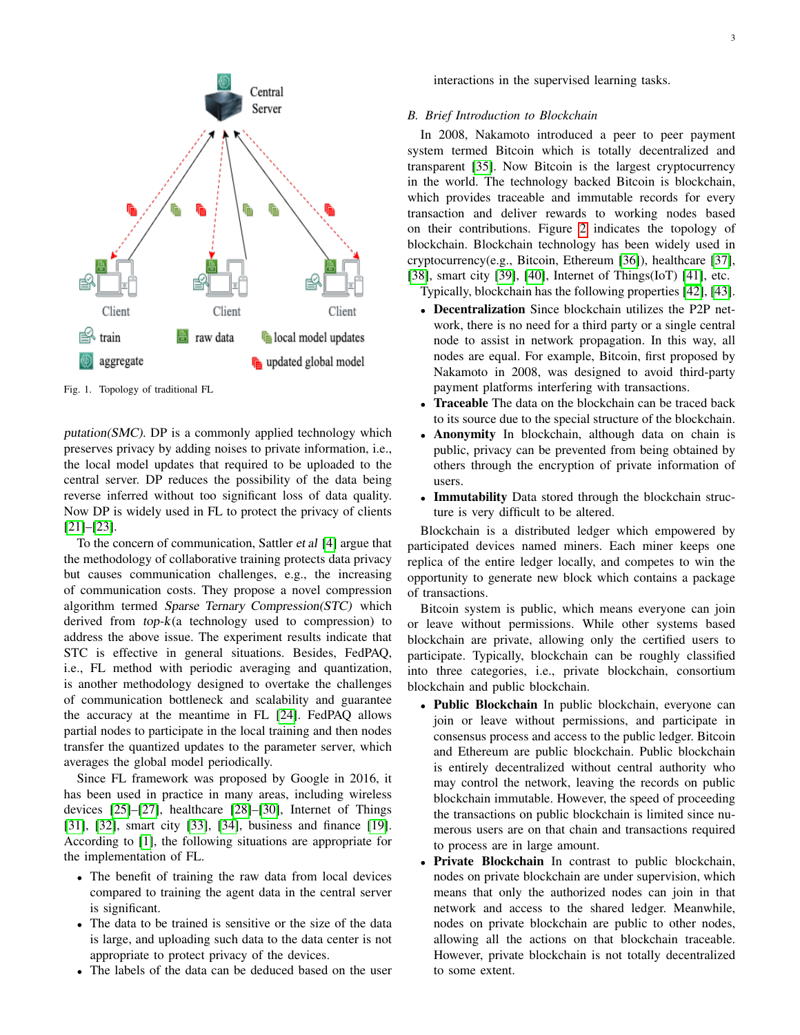

<span id="page-2-0"></span>Fig. 1. Topology of traditional FL

putation(SMC). DP is a commonly applied technology which preserves privacy by adding noises to private information, i.e., the local model updates that required to be uploaded to the central server. DP reduces the possibility of the data being reverse inferred without too significant loss of data quality. Now DP is widely used in FL to protect the privacy of clients [\[21\]](#page-15-19)–[\[23\]](#page-15-20).

To the concern of communication, Sattler et al [\[4\]](#page-15-3) argue that the methodology of collaborative training protects data privacy but causes communication challenges, e.g., the increasing of communication costs. They propose a novel compression algorithm termed Sparse Ternary Compression(STC) which derived from  $top-k$ (a technology used to compression) to address the above issue. The experiment results indicate that STC is effective in general situations. Besides, FedPAQ, i.e., FL method with periodic averaging and quantization, is another methodology designed to overtake the challenges of communication bottleneck and scalability and guarantee the accuracy at the meantime in FL [\[24\]](#page-16-0). FedPAQ allows partial nodes to participate in the local training and then nodes transfer the quantized updates to the parameter server, which averages the global model periodically.

Since FL framework was proposed by Google in 2016, it has been used in practice in many areas, including wireless devices [\[25\]](#page-16-1)–[\[27\]](#page-16-2), healthcare [\[28\]](#page-16-3)–[\[30\]](#page-16-4), Internet of Things [\[31\]](#page-16-5), [\[32\]](#page-16-6), smart city [\[33\]](#page-16-7), [\[34\]](#page-16-8), business and finance [\[19\]](#page-15-17). According to [\[1\]](#page-15-0), the following situations are appropriate for the implementation of FL.

- The benefit of training the raw data from local devices compared to training the agent data in the central server is significant.
- The data to be trained is sensitive or the size of the data is large, and uploading such data to the data center is not appropriate to protect privacy of the devices.
- The labels of the data can be deduced based on the user

interactions in the supervised learning tasks.

## *B. Brief Introduction to Blockchain*

In 2008, Nakamoto introduced a peer to peer payment system termed Bitcoin which is totally decentralized and transparent [\[35\]](#page-16-9). Now Bitcoin is the largest cryptocurrency in the world. The technology backed Bitcoin is blockchain, which provides traceable and immutable records for every transaction and deliver rewards to working nodes based on their contributions. Figure [2](#page-3-0) indicates the topology of blockchain. Blockchain technology has been widely used in cryptocurrency(e.g., Bitcoin, Ethereum [\[36\]](#page-16-10)), healthcare [\[37\]](#page-16-11), [\[38\]](#page-16-12), smart city [\[39\]](#page-16-13), [\[40\]](#page-16-14), Internet of Things(IoT) [\[41\]](#page-16-15), etc.

Typically, blockchain has the following properties [\[42\]](#page-16-16), [\[43\]](#page-16-17).

- Decentralization Since blockchain utilizes the P2P network, there is no need for a third party or a single central node to assist in network propagation. In this way, all nodes are equal. For example, Bitcoin, first proposed by Nakamoto in 2008, was designed to avoid third-party payment platforms interfering with transactions.
- Traceable The data on the blockchain can be traced back to its source due to the special structure of the blockchain.
- Anonymity In blockchain, although data on chain is public, privacy can be prevented from being obtained by others through the encryption of private information of users.
- Immutability Data stored through the blockchain structure is very difficult to be altered.

Blockchain is a distributed ledger which empowered by participated devices named miners. Each miner keeps one replica of the entire ledger locally, and competes to win the opportunity to generate new block which contains a package of transactions.

Bitcoin system is public, which means everyone can join or leave without permissions. While other systems based blockchain are private, allowing only the certified users to participate. Typically, blockchain can be roughly classified into three categories, i.e., private blockchain, consortium blockchain and public blockchain.

- Public Blockchain In public blockchain, everyone can join or leave without permissions, and participate in consensus process and access to the public ledger. Bitcoin and Ethereum are public blockchain. Public blockchain is entirely decentralized without central authority who may control the network, leaving the records on public blockchain immutable. However, the speed of proceeding the transactions on public blockchain is limited since numerous users are on that chain and transactions required to process are in large amount.
- Private Blockchain In contrast to public blockchain, nodes on private blockchain are under supervision, which means that only the authorized nodes can join in that network and access to the shared ledger. Meanwhile, nodes on private blockchain are public to other nodes, allowing all the actions on that blockchain traceable. However, private blockchain is not totally decentralized to some extent.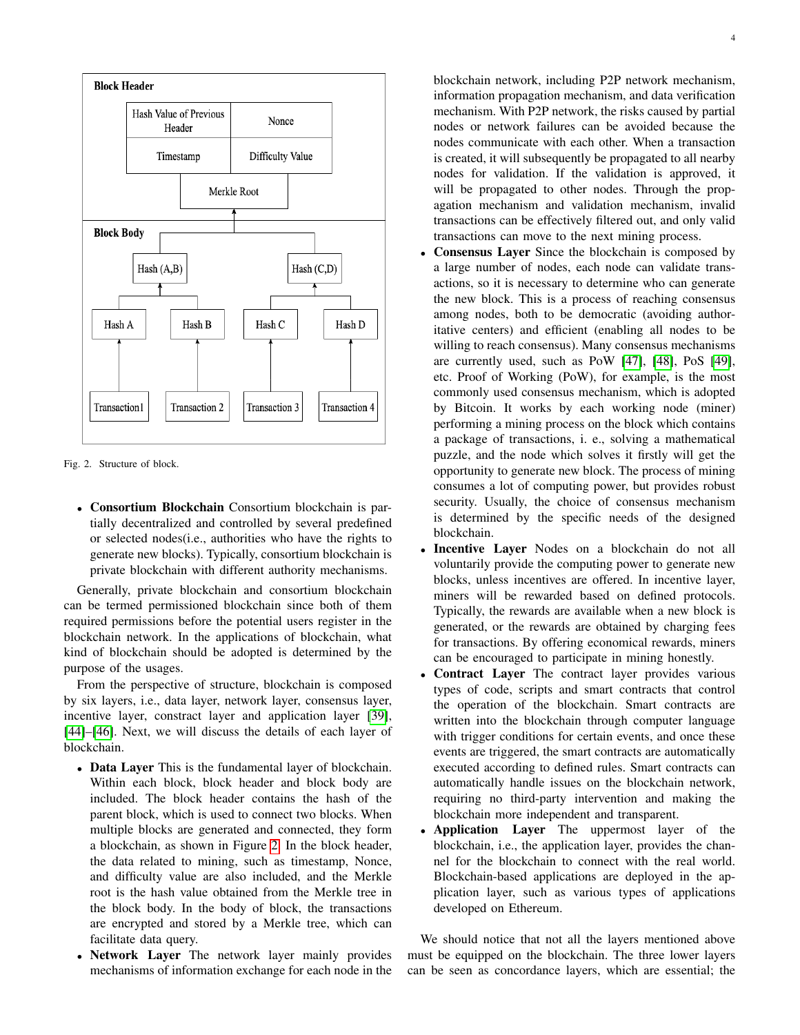

<span id="page-3-0"></span>Fig. 2. Structure of block.

• Consortium Blockchain Consortium blockchain is partially decentralized and controlled by several predefined or selected nodes(i.e., authorities who have the rights to generate new blocks). Typically, consortium blockchain is private blockchain with different authority mechanisms.

Generally, private blockchain and consortium blockchain can be termed permissioned blockchain since both of them required permissions before the potential users register in the blockchain network. In the applications of blockchain, what kind of blockchain should be adopted is determined by the purpose of the usages.

From the perspective of structure, blockchain is composed by six layers, i.e., data layer, network layer, consensus layer, incentive layer, constract layer and application layer [\[39\]](#page-16-13), [\[44\]](#page-16-18)–[\[46\]](#page-16-19). Next, we will discuss the details of each layer of blockchain.

- Data Layer This is the fundamental layer of blockchain. Within each block, block header and block body are included. The block header contains the hash of the parent block, which is used to connect two blocks. When multiple blocks are generated and connected, they form a blockchain, as shown in Figure [2.](#page-3-0) In the block header, the data related to mining, such as timestamp, Nonce, and difficulty value are also included, and the Merkle root is the hash value obtained from the Merkle tree in the block body. In the body of block, the transactions are encrypted and stored by a Merkle tree, which can facilitate data query.
- Network Layer The network layer mainly provides mechanisms of information exchange for each node in the

blockchain network, including P2P network mechanism, information propagation mechanism, and data verification mechanism. With P2P network, the risks caused by partial nodes or network failures can be avoided because the nodes communicate with each other. When a transaction is created, it will subsequently be propagated to all nearby nodes for validation. If the validation is approved, it will be propagated to other nodes. Through the propagation mechanism and validation mechanism, invalid transactions can be effectively filtered out, and only valid transactions can move to the next mining process.

- Consensus Layer Since the blockchain is composed by a large number of nodes, each node can validate transactions, so it is necessary to determine who can generate the new block. This is a process of reaching consensus among nodes, both to be democratic (avoiding authoritative centers) and efficient (enabling all nodes to be willing to reach consensus). Many consensus mechanisms are currently used, such as PoW [\[47\]](#page-16-20), [\[48\]](#page-16-21), PoS [\[49\]](#page-16-22), etc. Proof of Working (PoW), for example, is the most commonly used consensus mechanism, which is adopted by Bitcoin. It works by each working node (miner) performing a mining process on the block which contains a package of transactions, i. e., solving a mathematical puzzle, and the node which solves it firstly will get the opportunity to generate new block. The process of mining consumes a lot of computing power, but provides robust security. Usually, the choice of consensus mechanism is determined by the specific needs of the designed blockchain.
- Incentive Layer Nodes on a blockchain do not all voluntarily provide the computing power to generate new blocks, unless incentives are offered. In incentive layer, miners will be rewarded based on defined protocols. Typically, the rewards are available when a new block is generated, or the rewards are obtained by charging fees for transactions. By offering economical rewards, miners can be encouraged to participate in mining honestly.
- Contract Layer The contract layer provides various types of code, scripts and smart contracts that control the operation of the blockchain. Smart contracts are written into the blockchain through computer language with trigger conditions for certain events, and once these events are triggered, the smart contracts are automatically executed according to defined rules. Smart contracts can automatically handle issues on the blockchain network, requiring no third-party intervention and making the blockchain more independent and transparent.
- Application Layer The uppermost layer of the blockchain, i.e., the application layer, provides the channel for the blockchain to connect with the real world. Blockchain-based applications are deployed in the application layer, such as various types of applications developed on Ethereum.

We should notice that not all the layers mentioned above must be equipped on the blockchain. The three lower layers can be seen as concordance layers, which are essential; the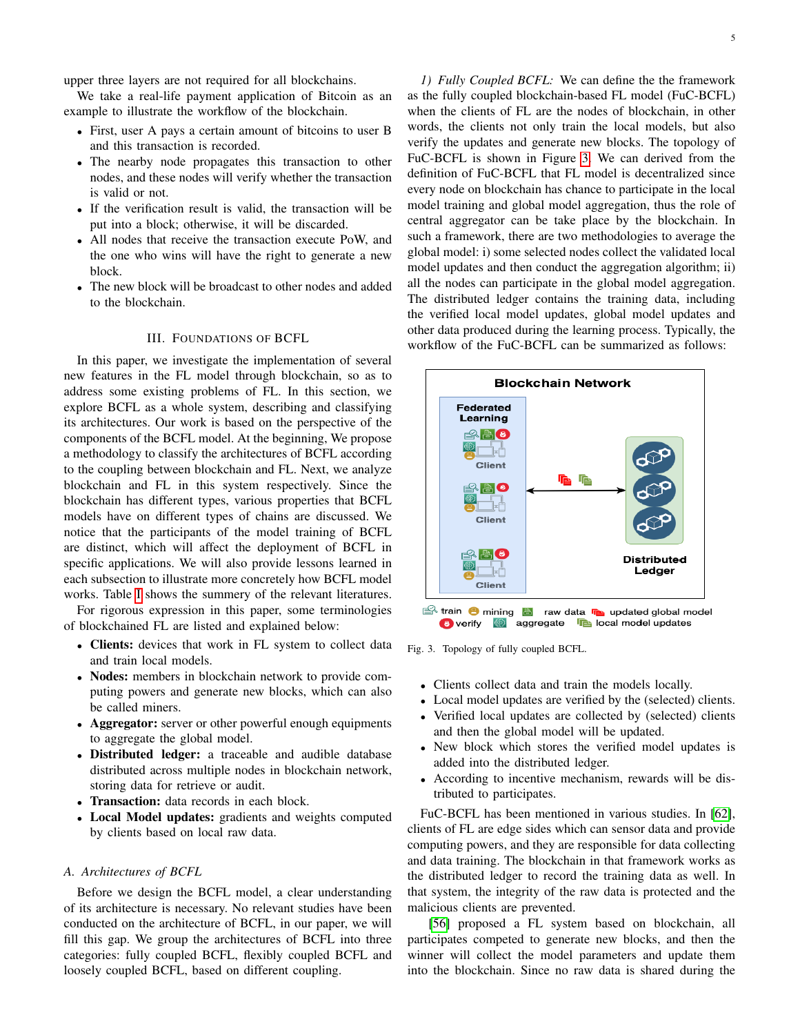upper three layers are not required for all blockchains.

We take a real-life payment application of Bitcoin as an example to illustrate the workflow of the blockchain.

- First, user A pays a certain amount of bitcoins to user B and this transaction is recorded.
- The nearby node propagates this transaction to other nodes, and these nodes will verify whether the transaction is valid or not.
- If the verification result is valid, the transaction will be put into a block; otherwise, it will be discarded.
- All nodes that receive the transaction execute PoW, and the one who wins will have the right to generate a new block.
- The new block will be broadcast to other nodes and added to the blockchain.

# III. FOUNDATIONS OF BCFL

<span id="page-4-0"></span>In this paper, we investigate the implementation of several new features in the FL model through blockchain, so as to address some existing problems of FL. In this section, we explore BCFL as a whole system, describing and classifying its architectures. Our work is based on the perspective of the components of the BCFL model. At the beginning, We propose a methodology to classify the architectures of BCFL according to the coupling between blockchain and FL. Next, we analyze blockchain and FL in this system respectively. Since the blockchain has different types, various properties that BCFL models have on different types of chains are discussed. We notice that the participants of the model training of BCFL are distinct, which will affect the deployment of BCFL in specific applications. We will also provide lessons learned in each subsection to illustrate more concretely how BCFL model works. Table [I](#page-5-0) shows the summery of the relevant literatures.

For rigorous expression in this paper, some terminologies of blockchained FL are listed and explained below:

- Clients: devices that work in FL system to collect data and train local models.
- Nodes: members in blockchain network to provide computing powers and generate new blocks, which can also be called miners.
- Aggregator: server or other powerful enough equipments to aggregate the global model.
- Distributed ledger: a traceable and audible database distributed across multiple nodes in blockchain network, storing data for retrieve or audit.
- Transaction: data records in each block.
- Local Model updates: gradients and weights computed by clients based on local raw data.

#### <span id="page-4-2"></span>*A. Architectures of BCFL*

Before we design the BCFL model, a clear understanding of its architecture is necessary. No relevant studies have been conducted on the architecture of BCFL, in our paper, we will fill this gap. We group the architectures of BCFL into three categories: fully coupled BCFL, flexibly coupled BCFL and loosely coupled BCFL, based on different coupling.

*1) Fully Coupled BCFL:* We can define the the framework as the fully coupled blockchain-based FL model (FuC-BCFL) when the clients of FL are the nodes of blockchain, in other words, the clients not only train the local models, but also verify the updates and generate new blocks. The topology of FuC-BCFL is shown in Figure [3.](#page-4-1) We can derived from the definition of FuC-BCFL that FL model is decentralized since every node on blockchain has chance to participate in the local model training and global model aggregation, thus the role of central aggregator can be take place by the blockchain. In such a framework, there are two methodologies to average the global model: i) some selected nodes collect the validated local model updates and then conduct the aggregation algorithm; ii) all the nodes can participate in the global model aggregation. The distributed ledger contains the training data, including the verified local model updates, global model updates and other data produced during the learning process. Typically, the workflow of the FuC-BCFL can be summarized as follows:



<span id="page-4-1"></span>Fig. 3. Topology of fully coupled BCFL.

- Clients collect data and train the models locally.
- Local model updates are verified by the (selected) clients.
- Verified local updates are collected by (selected) clients and then the global model will be updated.
- New block which stores the verified model updates is added into the distributed ledger.
- According to incentive mechanism, rewards will be distributed to participates.

FuC-BCFL has been mentioned in various studies. In [\[62\]](#page-16-23), clients of FL are edge sides which can sensor data and provide computing powers, and they are responsible for data collecting and data training. The blockchain in that framework works as the distributed ledger to record the training data as well. In that system, the integrity of the raw data is protected and the malicious clients are prevented.

[\[56\]](#page-16-24) proposed a FL system based on blockchain, all participates competed to generate new blocks, and then the winner will collect the model parameters and update them into the blockchain. Since no raw data is shared during the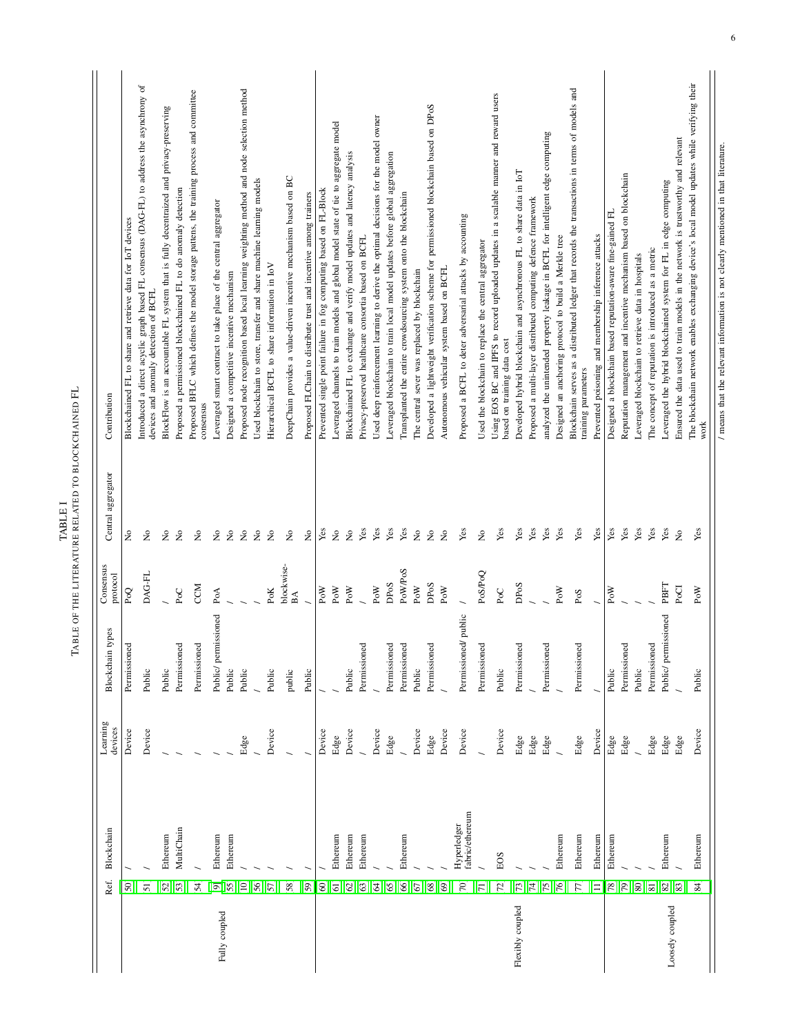<span id="page-5-0"></span>

|                  |                           |                                | Learning |                      |                             |                                     |                                                                                                                                     |
|------------------|---------------------------|--------------------------------|----------|----------------------|-----------------------------|-------------------------------------|-------------------------------------------------------------------------------------------------------------------------------------|
|                  | Ref.                      | Blockchain                     | devices  | types<br>Blockchain  | Consensus<br>protocol       | Central aggregator                  | Contribution                                                                                                                        |
|                  | [50]                      |                                | Device   | Permissioned         | PoQ                         | ž                                   | Blockchained FL to share and retrieve data for IoT devices                                                                          |
|                  | $[51]$                    |                                | Device   | Public               | DAG-FL                      | $\tilde{\mathsf{z}}$                | Introduced a direct acyclic graph based FL consensus (DAG-FL) to address the asynchrony of<br>devices and anomaly detection of BCFL |
|                  | [52]                      | Ethereum                       |          | Public               |                             | $\frac{1}{2}$                       | BlockFlow is an accountable FL system that is fully decentraized and privacy-preserving                                             |
|                  | $[53]$                    | MultiChain                     |          | Permissioned         | $P_0C$                      | $\stackrel{\circ}{\mathsf{Z}}$      | Proposed a permissioned blockchained FL to do anomaly detection                                                                     |
|                  | [54]                      |                                |          | Permissioned         | CCM                         | $\stackrel{\circ}{\mathsf{Z}}$      | Proposed BFLC which defines the model storage pattens, the training process and committee<br>consensus                              |
|                  | $\overline{\mathfrak{D}}$ | Ethereum                       |          | Public/ permissioned | PoA                         | $\stackrel{\mathtt{o}}{\mathsf{z}}$ | Leveraged smart contract to take place of the central aggregator                                                                    |
| Fully coupled    | $[55]$                    | Ethereum                       |          | Public               |                             | $\tilde{z}$                         | Designed a competitive incentive mechanism                                                                                          |
|                  | [10]                      |                                | Edge     | Public               |                             | $\stackrel{\circ}{\mathsf{Z}}$      | Proposed node recognition based local learning weighting method and node selection method                                           |
|                  | [56]                      |                                |          |                      |                             | $\stackrel{\circ}{\mathsf{Z}}$      | Used blockchain to store, transfer and share machine learning models                                                                |
|                  | [57]                      |                                | Device   | Public               | PoK                         | $\tilde{z}$                         | Hierarchical BCFL to share information in IoV                                                                                       |
|                  | $[58]$                    |                                |          | public               | blockwise-<br>$\mathbbm{B}$ | $\stackrel{\mathtt{o}}{\mathtt{x}}$ | DeepChain provides a value-driven incentive mechanism based on BC                                                                   |
|                  | [59]                      |                                |          | Public               |                             | $\tilde{z}$                         | Proposed FLChain to distribute trust and incentive among trainers                                                                   |
|                  | [60]                      |                                | Device   |                      | PoW                         | Yes                                 | Prevented single point failure in fog computing based on FL-Block                                                                   |
|                  | $[61]$                    | Ethereum                       | Edge     |                      | $_{\rm{PoW}}$               | $\tilde{\mathbf{z}}$                | Leveraged channels to train models and global model state of tie to aggregate model                                                 |
|                  | [62]                      | Ethereum                       | Device   | Public               | PoW                         | $\frac{1}{2}$                       | Blockchained FL to exchange and verify model updates and latency analysis                                                           |
|                  | [63]                      | Ethereum                       |          | Permissioned         |                             | Yes                                 | Privacy-preserved healthcare consortia based on BCFL                                                                                |
|                  | [64]                      |                                | Device   |                      | PoW                         | Yes                                 | Used deep reinforcement learning to derive the optimal decisions for the model owner                                                |
|                  | [65]                      |                                | Edge     | Permissioned         | DPoS                        | Yes                                 | Leveraged blockchain to train local model updates before global aggregation                                                         |
|                  | [66]                      | Ethereum                       |          | Permissioned         | PoW/PoS                     | Yes                                 | Transplanted the entire crowdsourcing system onto the blockchain                                                                    |
|                  | [67]                      |                                | Device   | Public               | PoW                         | $\tilde{z}$                         | The central sever was replaced by blockchain                                                                                        |
|                  | [68]                      |                                | Edge     | Permissioned         | DPoS                        | $\stackrel{\circ}{\simeq}$          | Developed a lightweight verification scheme for permissioned blockchain based on DPoS                                               |
|                  | [69]                      |                                | Device   |                      | PoW                         | $\stackrel{\circ}{\mathsf{Z}}$      | Autonomous vehicular system based on BCFL                                                                                           |
|                  | [70]                      | fabric/ethereum<br>Hyperledger | Device   | Permissioned/public  |                             | Yes                                 | Proposed a BCFL to deter adversarial attacks by accounting                                                                          |
|                  | $\Xi$                     |                                |          | Permissioned         | PoS/PoQ                     | $\stackrel{\circ}{\mathsf{Z}}$      | Used the blockchain to replace the central aggregator                                                                               |
|                  | $[72]$                    | EOS                            | Device   | Public               | PoC                         | Yes                                 | Using EOS BC and IPFS to record uploaded updates in a scalable manner and reward users<br>based on training data cost               |
| Flexibly coupled | $[73]$                    |                                | Edge     | Permissioned         | DPoS                        | Yes                                 | Developed hybrid blockchain and asynchronous FL to share data in IoT                                                                |
|                  | $[74]$                    |                                | Edge     |                      |                             | Yes                                 | Proposed a multi-layer distributed computing defence framework                                                                      |
|                  | $[75]$                    |                                | Edge     | Permissioned         |                             | Yes                                 | analyzed the unintended property leakage in BCFL for intelligent edge computing                                                     |
|                  | $[76]$                    | Ethereum                       |          |                      | PoW                         | Yes                                 | Designed an anchoring protocol to build a Merkle tree                                                                               |
|                  | [77]                      | Ethereum                       | Edge     | Permissioned         | PoS                         | Yes                                 | Blockchain serves as a distributed ledger that records the transactions in terms of models and<br>training parameters               |
|                  | Ξ                         | Ethereum                       | Device   |                      |                             | Yes                                 | Prevented poisoning and membership inference attacks                                                                                |
|                  | $[78]$                    | Ethereum                       | Edge     | Public               | PoW                         | Yes                                 | Designed a blockchain based reputation-aware fine-gained FL                                                                         |
|                  | [79]                      |                                | Edge     | Permissioned         |                             | Yes                                 | Reputation management and incentive mechanism based on blockchain                                                                   |
|                  | [80]                      |                                |          | Public               |                             | Yes                                 | Leveraged blockchain to retrieve data in hospitals                                                                                  |
|                  | [81]                      |                                | Edge     | Permissioned         |                             | Yes                                 | The concept of reputation is introduced as a metric                                                                                 |
| Loosely coupled  | $[82]$                    | Ethereum                       | Edge     | Public/ permissioned | PBFT                        | Yes                                 | Leveraged the hybrid blockchained system for FL in edge computing                                                                   |
|                  | [83]                      |                                | Edge     |                      | PoCI                        | $\tilde{\mathbf{z}}$                | Ensured the data used to train models in the network is trustworthy and relevant                                                    |
|                  | [84]                      | Ethereum                       | Device   | Public               | PoW                         | Yes                                 | The blockchain network enables exchanging device's local model updates while verifying their<br>work                                |
|                  |                           |                                |          |                      |                             |                                     |                                                                                                                                     |

/ means that the relevant information is not clearly mentioned in that literature. / means that the relevant information is not clearly mentioned in that literature.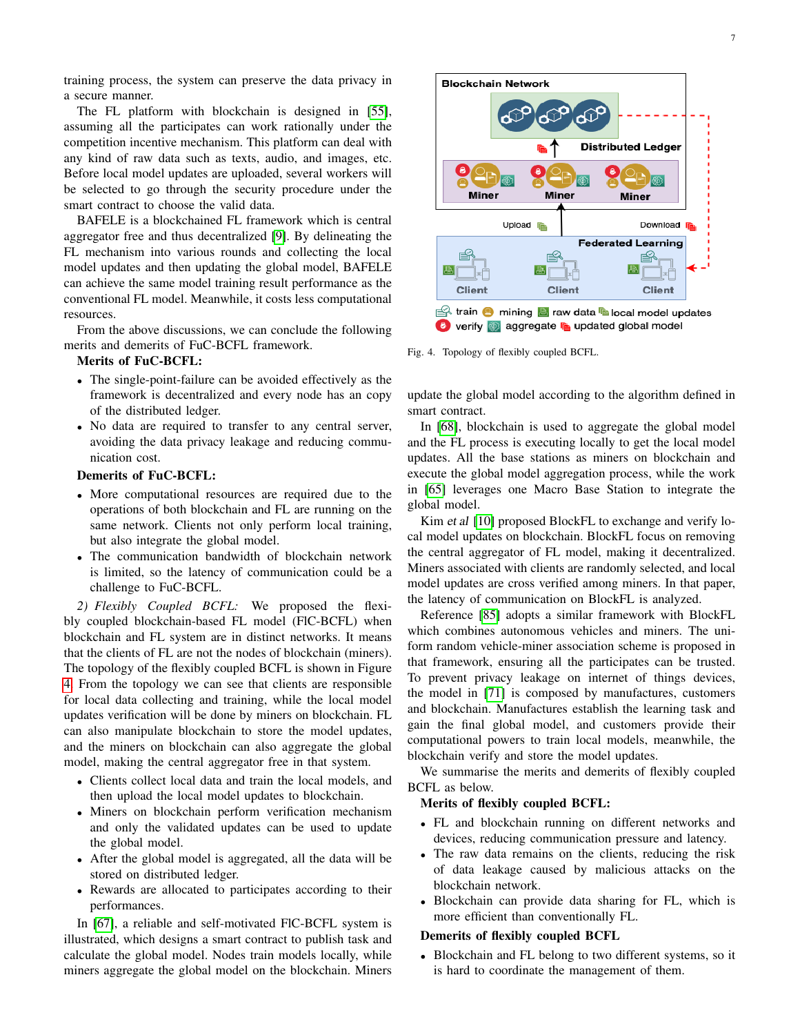training process, the system can preserve the data privacy in a secure manner.

The FL platform with blockchain is designed in [\[55\]](#page-16-30), assuming all the participates can work rationally under the competition incentive mechanism. This platform can deal with any kind of raw data such as texts, audio, and images, etc. Before local model updates are uploaded, several workers will be selected to go through the security procedure under the smart contract to choose the valid data.

BAFELE is a blockchained FL framework which is central aggregator free and thus decentralized [\[9\]](#page-15-7). By delineating the FL mechanism into various rounds and collecting the local model updates and then updating the global model, BAFELE can achieve the same model training result performance as the conventional FL model. Meanwhile, it costs less computational resources.

From the above discussions, we can conclude the following merits and demerits of FuC-BCFL framework.

## Merits of FuC-BCFL:

- The single-point-failure can be avoided effectively as the framework is decentralized and every node has an copy of the distributed ledger.
- No data are required to transfer to any central server, avoiding the data privacy leakage and reducing communication cost.

# Demerits of FuC-BCFL:

- More computational resources are required due to the operations of both blockchain and FL are running on the same network. Clients not only perform local training, but also integrate the global model.
- The communication bandwidth of blockchain network is limited, so the latency of communication could be a challenge to FuC-BCFL.

*2) Flexibly Coupled BCFL:* We proposed the flexibly coupled blockchain-based FL model (FlC-BCFL) when blockchain and FL system are in distinct networks. It means that the clients of FL are not the nodes of blockchain (miners). The topology of the flexibly coupled BCFL is shown in Figure [4.](#page-6-0) From the topology we can see that clients are responsible for local data collecting and training, while the local model updates verification will be done by miners on blockchain. FL can also manipulate blockchain to store the model updates, and the miners on blockchain can also aggregate the global model, making the central aggregator free in that system.

- Clients collect local data and train the local models, and then upload the local model updates to blockchain.
- Miners on blockchain perform verification mechanism and only the validated updates can be used to update the global model.
- After the global model is aggregated, all the data will be stored on distributed ledger.
- Rewards are allocated to participates according to their performances.

In [\[67\]](#page-16-40), a reliable and self-motivated FlC-BCFL system is illustrated, which designs a smart contract to publish task and calculate the global model. Nodes train models locally, while miners aggregate the global model on the blockchain. Miners



<span id="page-6-0"></span>Fig. 4. Topology of flexibly coupled BCFL.

update the global model according to the algorithm defined in smart contract.

In [\[68\]](#page-16-41), blockchain is used to aggregate the global model and the FL process is executing locally to get the local model updates. All the base stations as miners on blockchain and execute the global model aggregation process, while the work in [\[65\]](#page-16-38) leverages one Macro Base Station to integrate the global model.

Kim et al [\[10\]](#page-15-8) proposed BlockFL to exchange and verify local model updates on blockchain. BlockFL focus on removing the central aggregator of FL model, making it decentralized. Miners associated with clients are randomly selected, and local model updates are cross verified among miners. In that paper, the latency of communication on BlockFL is analyzed.

Reference [\[85\]](#page-17-16) adopts a similar framework with BlockFL which combines autonomous vehicles and miners. The uniform random vehicle-miner association scheme is proposed in that framework, ensuring all the participates can be trusted. To prevent privacy leakage on internet of things devices, the model in [\[71\]](#page-17-2) is composed by manufactures, customers and blockchain. Manufactures establish the learning task and gain the final global model, and customers provide their computational powers to train local models, meanwhile, the blockchain verify and store the model updates.

We summarise the merits and demerits of flexibly coupled BCFL as below.

# Merits of flexibly coupled BCFL:

- FL and blockchain running on different networks and devices, reducing communication pressure and latency.
- The raw data remains on the clients, reducing the risk of data leakage caused by malicious attacks on the blockchain network.
- Blockchain can provide data sharing for FL, which is more efficient than conventionally FL.

# Demerits of flexibly coupled BCFL

• Blockchain and FL belong to two different systems, so it is hard to coordinate the management of them.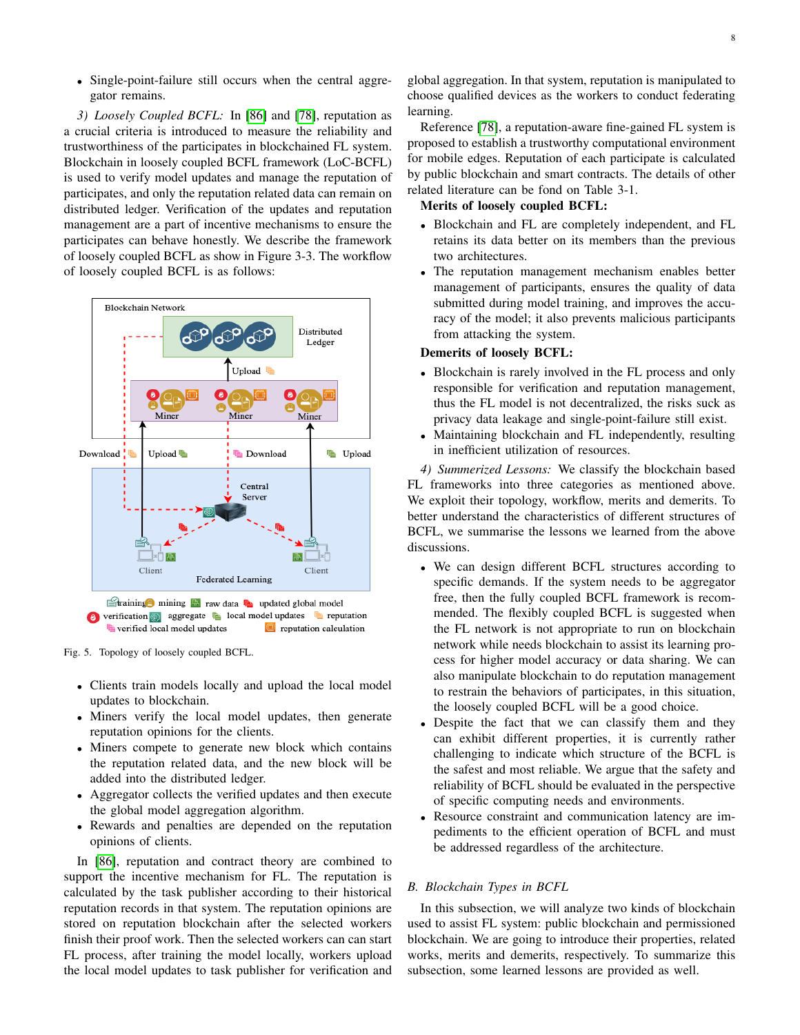• Single-point-failure still occurs when the central aggregator remains.

*3) Loosely Coupled BCFL:* In [\[86\]](#page-17-17) and [\[78\]](#page-17-9), reputation as a crucial criteria is introduced to measure the reliability and trustworthiness of the participates in blockchained FL system. Blockchain in loosely coupled BCFL framework (LoC-BCFL) is used to verify model updates and manage the reputation of participates, and only the reputation related data can remain on distributed ledger. Verification of the updates and reputation management are a part of incentive mechanisms to ensure the participates can behave honestly. We describe the framework of loosely coupled BCFL as show in Figure 3-3. The workflow of loosely coupled BCFL is as follows:



Fig. 5. Topology of loosely coupled BCFL.

- Clients train models locally and upload the local model updates to blockchain.
- Miners verify the local model updates, then generate reputation opinions for the clients.
- Miners compete to generate new block which contains the reputation related data, and the new block will be added into the distributed ledger.
- Aggregator collects the verified updates and then execute the global model aggregation algorithm.
- Rewards and penalties are depended on the reputation opinions of clients.

In [\[86\]](#page-17-17), reputation and contract theory are combined to support the incentive mechanism for FL. The reputation is calculated by the task publisher according to their historical reputation records in that system. The reputation opinions are stored on reputation blockchain after the selected workers finish their proof work. Then the selected workers can can start FL process, after training the model locally, workers upload the local model updates to task publisher for verification and

global aggregation. In that system, reputation is manipulated to choose qualified devices as the workers to conduct federating learning.

Reference [\[78\]](#page-17-9), a reputation-aware fine-gained FL system is proposed to establish a trustworthy computational environment for mobile edges. Reputation of each participate is calculated by public blockchain and smart contracts. The details of other related literature can be fond on Table 3-1.

# Merits of loosely coupled BCFL:

- Blockchain and FL are completely independent, and FL retains its data better on its members than the previous two architectures.
- The reputation management mechanism enables better management of participants, ensures the quality of data submitted during model training, and improves the accuracy of the model; it also prevents malicious participants from attacking the system.

# Demerits of loosely BCFL:

- Blockchain is rarely involved in the FL process and only responsible for verification and reputation management, thus the FL model is not decentralized, the risks suck as privacy data leakage and single-point-failure still exist.
- Maintaining blockchain and FL independently, resulting in inefficient utilization of resources.

*4) Summerized Lessons:* We classify the blockchain based FL frameworks into three categories as mentioned above. We exploit their topology, workflow, merits and demerits. To better understand the characteristics of different structures of BCFL, we summarise the lessons we learned from the above discussions.

- We can design different BCFL structures according to specific demands. If the system needs to be aggregator free, then the fully coupled BCFL framework is recommended. The flexibly coupled BCFL is suggested when the FL network is not appropriate to run on blockchain network while needs blockchain to assist its learning process for higher model accuracy or data sharing. We can also manipulate blockchain to do reputation management to restrain the behaviors of participates, in this situation, the loosely coupled BCFL will be a good choice.
- Despite the fact that we can classify them and they can exhibit different properties, it is currently rather challenging to indicate which structure of the BCFL is the safest and most reliable. We argue that the safety and reliability of BCFL should be evaluated in the perspective of specific computing needs and environments.
- Resource constraint and communication latency are impediments to the efficient operation of BCFL and must be addressed regardless of the architecture.

# *B. Blockchain Types in BCFL*

In this subsection, we will analyze two kinds of blockchain used to assist FL system: public blockchain and permissioned blockchain. We are going to introduce their properties, related works, merits and demerits, respectively. To summarize this subsection, some learned lessons are provided as well.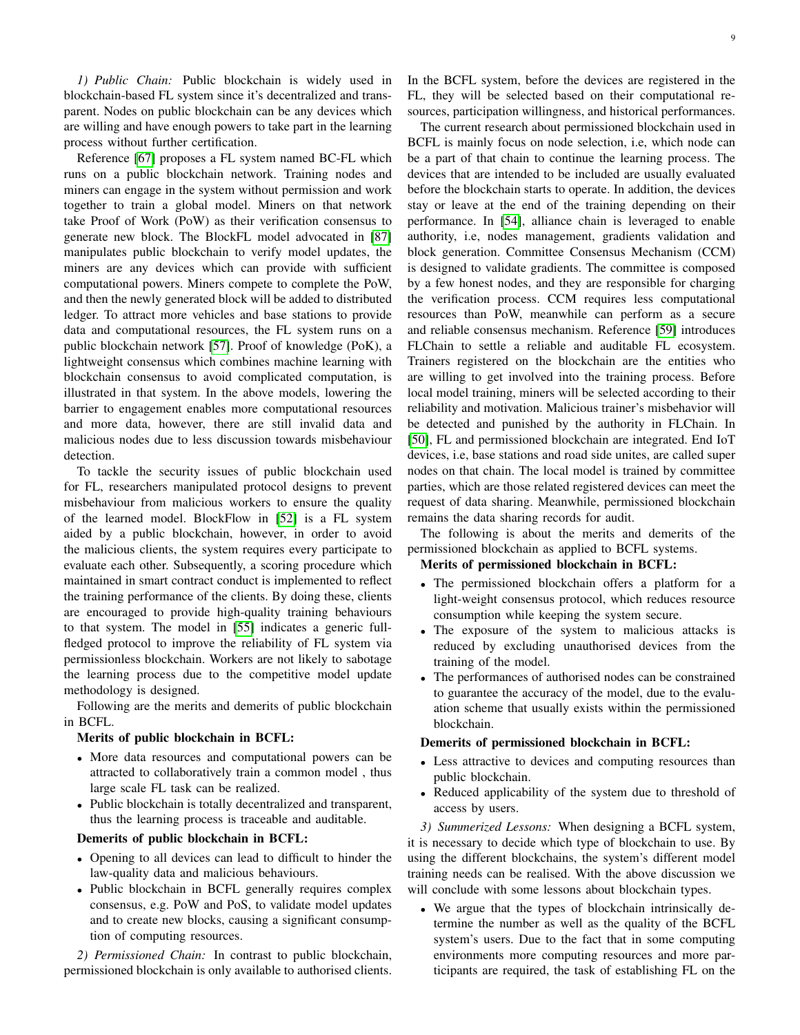*1) Public Chain:* Public blockchain is widely used in blockchain-based FL system since it's decentralized and transparent. Nodes on public blockchain can be any devices which are willing and have enough powers to take part in the learning process without further certification.

Reference [\[67\]](#page-16-40) proposes a FL system named BC-FL which runs on a public blockchain network. Training nodes and miners can engage in the system without permission and work together to train a global model. Miners on that network take Proof of Work (PoW) as their verification consensus to generate new block. The BlockFL model advocated in [\[87\]](#page-17-18) manipulates public blockchain to verify model updates, the miners are any devices which can provide with sufficient computational powers. Miners compete to complete the PoW, and then the newly generated block will be added to distributed ledger. To attract more vehicles and base stations to provide data and computational resources, the FL system runs on a public blockchain network [\[57\]](#page-16-31). Proof of knowledge (PoK), a lightweight consensus which combines machine learning with blockchain consensus to avoid complicated computation, is illustrated in that system. In the above models, lowering the barrier to engagement enables more computational resources and more data, however, there are still invalid data and malicious nodes due to less discussion towards misbehaviour detection.

To tackle the security issues of public blockchain used for FL, researchers manipulated protocol designs to prevent misbehaviour from malicious workers to ensure the quality of the learned model. BlockFlow in [\[52\]](#page-16-27) is a FL system aided by a public blockchain, however, in order to avoid the malicious clients, the system requires every participate to evaluate each other. Subsequently, a scoring procedure which maintained in smart contract conduct is implemented to reflect the training performance of the clients. By doing these, clients are encouraged to provide high-quality training behaviours to that system. The model in [\[55\]](#page-16-30) indicates a generic fullfledged protocol to improve the reliability of FL system via permissionless blockchain. Workers are not likely to sabotage the learning process due to the competitive model update methodology is designed.

Following are the merits and demerits of public blockchain in BCFL.

## Merits of public blockchain in BCFL:

- More data resources and computational powers can be attracted to collaboratively train a common model , thus large scale FL task can be realized.
- Public blockchain is totally decentralized and transparent, thus the learning process is traceable and auditable.

# Demerits of public blockchain in BCFL:

- Opening to all devices can lead to difficult to hinder the law-quality data and malicious behaviours.
- Public blockchain in BCFL generally requires complex consensus, e.g. PoW and PoS, to validate model updates and to create new blocks, causing a significant consumption of computing resources.

*2) Permissioned Chain:* In contrast to public blockchain, permissioned blockchain is only available to authorised clients. In the BCFL system, before the devices are registered in the FL, they will be selected based on their computational resources, participation willingness, and historical performances.

The current research about permissioned blockchain used in BCFL is mainly focus on node selection, i.e, which node can be a part of that chain to continue the learning process. The devices that are intended to be included are usually evaluated before the blockchain starts to operate. In addition, the devices stay or leave at the end of the training depending on their performance. In [\[54\]](#page-16-29), alliance chain is leveraged to enable authority, i.e, nodes management, gradients validation and block generation. Committee Consensus Mechanism (CCM) is designed to validate gradients. The committee is composed by a few honest nodes, and they are responsible for charging the verification process. CCM requires less computational resources than PoW, meanwhile can perform as a secure and reliable consensus mechanism. Reference [\[59\]](#page-16-33) introduces FLChain to settle a reliable and auditable FL ecosystem. Trainers registered on the blockchain are the entities who are willing to get involved into the training process. Before local model training, miners will be selected according to their reliability and motivation. Malicious trainer's misbehavior will be detected and punished by the authority in FLChain. In [\[50\]](#page-16-25), FL and permissioned blockchain are integrated. End IoT devices, i.e, base stations and road side unites, are called super nodes on that chain. The local model is trained by committee parties, which are those related registered devices can meet the request of data sharing. Meanwhile, permissioned blockchain remains the data sharing records for audit.

The following is about the merits and demerits of the permissioned blockchain as applied to BCFL systems.

#### Merits of permissioned blockchain in BCFL:

- The permissioned blockchain offers a platform for a light-weight consensus protocol, which reduces resource consumption while keeping the system secure.
- The exposure of the system to malicious attacks is reduced by excluding unauthorised devices from the training of the model.
- The performances of authorised nodes can be constrained to guarantee the accuracy of the model, due to the evaluation scheme that usually exists within the permissioned blockchain.

# Demerits of permissioned blockchain in BCFL:

- Less attractive to devices and computing resources than public blockchain.
- Reduced applicability of the system due to threshold of access by users.

*3) Summerized Lessons:* When designing a BCFL system, it is necessary to decide which type of blockchain to use. By using the different blockchains, the system's different model training needs can be realised. With the above discussion we will conclude with some lessons about blockchain types.

• We argue that the types of blockchain intrinsically determine the number as well as the quality of the BCFL system's users. Due to the fact that in some computing environments more computing resources and more participants are required, the task of establishing FL on the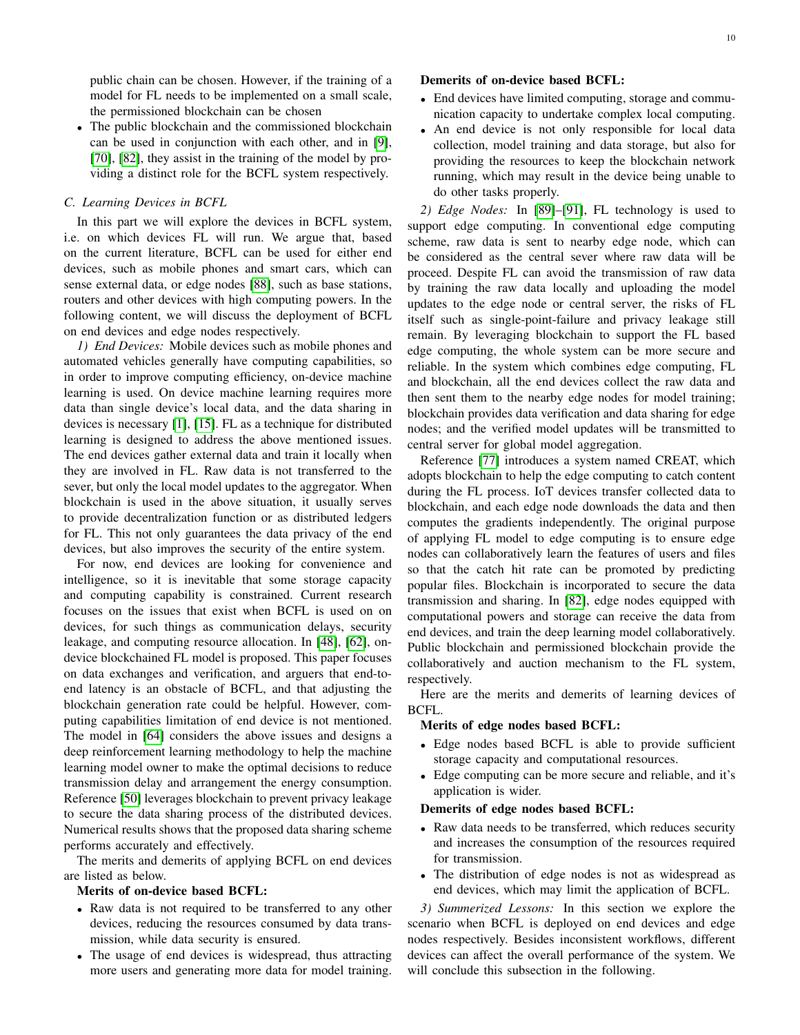public chain can be chosen. However, if the training of a model for FL needs to be implemented on a small scale, the permissioned blockchain can be chosen

• The public blockchain and the commissioned blockchain can be used in conjunction with each other, and in [\[9\]](#page-15-7), [\[70\]](#page-17-1), [\[82\]](#page-17-13), they assist in the training of the model by providing a distinct role for the BCFL system respectively.

## *C. Learning Devices in BCFL*

In this part we will explore the devices in BCFL system, i.e. on which devices FL will run. We argue that, based on the current literature, BCFL can be used for either end devices, such as mobile phones and smart cars, which can sense external data, or edge nodes [\[88\]](#page-17-19), such as base stations, routers and other devices with high computing powers. In the following content, we will discuss the deployment of BCFL on end devices and edge nodes respectively.

*1) End Devices:* Mobile devices such as mobile phones and automated vehicles generally have computing capabilities, so in order to improve computing efficiency, on-device machine learning is used. On device machine learning requires more data than single device's local data, and the data sharing in devices is necessary [\[1\]](#page-15-0), [\[15\]](#page-15-13). FL as a technique for distributed learning is designed to address the above mentioned issues. The end devices gather external data and train it locally when they are involved in FL. Raw data is not transferred to the sever, but only the local model updates to the aggregator. When blockchain is used in the above situation, it usually serves to provide decentralization function or as distributed ledgers for FL. This not only guarantees the data privacy of the end devices, but also improves the security of the entire system.

For now, end devices are looking for convenience and intelligence, so it is inevitable that some storage capacity and computing capability is constrained. Current research focuses on the issues that exist when BCFL is used on on devices, for such things as communication delays, security leakage, and computing resource allocation. In [\[48\]](#page-16-21), [\[62\]](#page-16-23), ondevice blockchained FL model is proposed. This paper focuses on data exchanges and verification, and arguers that end-toend latency is an obstacle of BCFL, and that adjusting the blockchain generation rate could be helpful. However, computing capabilities limitation of end device is not mentioned. The model in [\[64\]](#page-16-37) considers the above issues and designs a deep reinforcement learning methodology to help the machine learning model owner to make the optimal decisions to reduce transmission delay and arrangement the energy consumption. Reference [\[50\]](#page-16-25) leverages blockchain to prevent privacy leakage to secure the data sharing process of the distributed devices. Numerical results shows that the proposed data sharing scheme performs accurately and effectively.

The merits and demerits of applying BCFL on end devices are listed as below.

# Merits of on-device based BCFL:

- Raw data is not required to be transferred to any other devices, reducing the resources consumed by data transmission, while data security is ensured.
- The usage of end devices is widespread, thus attracting more users and generating more data for model training.

# Demerits of on-device based BCFL:

- End devices have limited computing, storage and communication capacity to undertake complex local computing.
- An end device is not only responsible for local data collection, model training and data storage, but also for providing the resources to keep the blockchain network running, which may result in the device being unable to do other tasks properly.

*2) Edge Nodes:* In [\[89\]](#page-17-20)–[\[91\]](#page-17-21), FL technology is used to support edge computing. In conventional edge computing scheme, raw data is sent to nearby edge node, which can be considered as the central sever where raw data will be proceed. Despite FL can avoid the transmission of raw data by training the raw data locally and uploading the model updates to the edge node or central server, the risks of FL itself such as single-point-failure and privacy leakage still remain. By leveraging blockchain to support the FL based edge computing, the whole system can be more secure and reliable. In the system which combines edge computing, FL and blockchain, all the end devices collect the raw data and then sent them to the nearby edge nodes for model training; blockchain provides data verification and data sharing for edge nodes; and the verified model updates will be transmitted to central server for global model aggregation.

Reference [\[77\]](#page-17-8) introduces a system named CREAT, which adopts blockchain to help the edge computing to catch content during the FL process. IoT devices transfer collected data to blockchain, and each edge node downloads the data and then computes the gradients independently. The original purpose of applying FL model to edge computing is to ensure edge nodes can collaboratively learn the features of users and files so that the catch hit rate can be promoted by predicting popular files. Blockchain is incorporated to secure the data transmission and sharing. In [\[82\]](#page-17-13), edge nodes equipped with computational powers and storage can receive the data from end devices, and train the deep learning model collaboratively. Public blockchain and permissioned blockchain provide the collaboratively and auction mechanism to the FL system, respectively.

Here are the merits and demerits of learning devices of BCFL.

#### Merits of edge nodes based BCFL:

- Edge nodes based BCFL is able to provide sufficient storage capacity and computational resources.
- Edge computing can be more secure and reliable, and it's application is wider.

## Demerits of edge nodes based BCFL:

- Raw data needs to be transferred, which reduces security and increases the consumption of the resources required for transmission.
- The distribution of edge nodes is not as widespread as end devices, which may limit the application of BCFL.

*3) Summerized Lessons:* In this section we explore the scenario when BCFL is deployed on end devices and edge nodes respectively. Besides inconsistent workflows, different devices can affect the overall performance of the system. We will conclude this subsection in the following.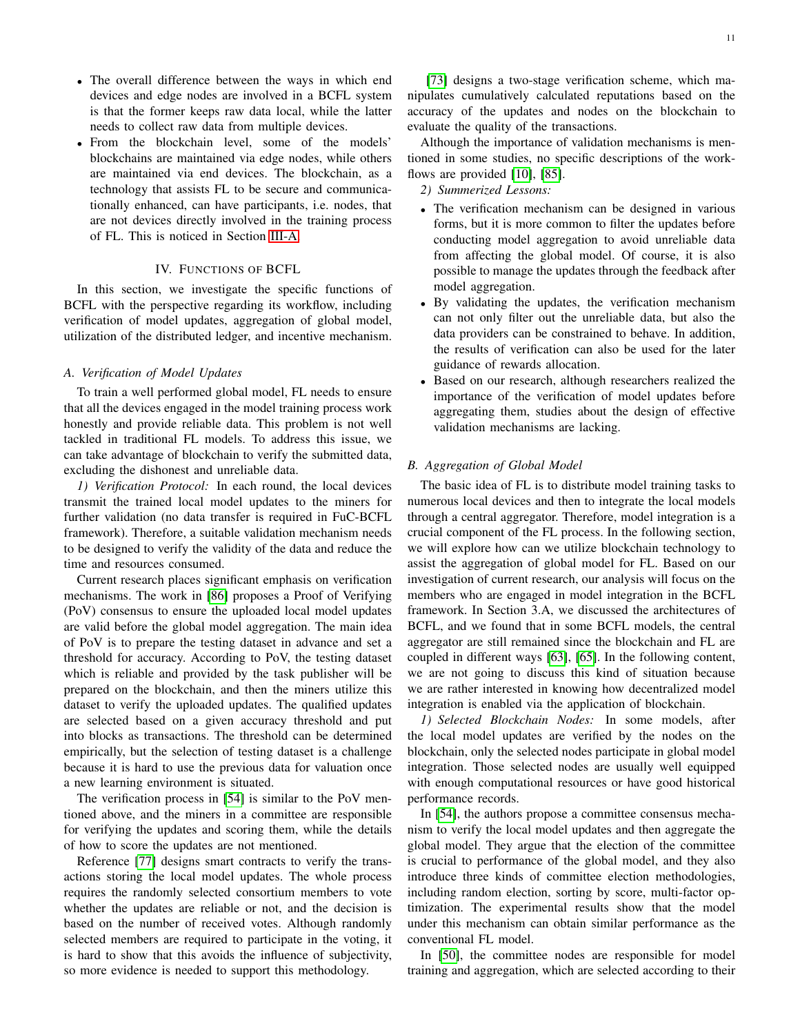- The overall difference between the ways in which end devices and edge nodes are involved in a BCFL system is that the former keeps raw data local, while the latter needs to collect raw data from multiple devices.
- From the blockchain level, some of the models' blockchains are maintained via edge nodes, while others are maintained via end devices. The blockchain, as a technology that assists FL to be secure and communicationally enhanced, can have participants, i.e. nodes, that are not devices directly involved in the training process of FL. This is noticed in Section [III-A.](#page-4-2)

## IV. FUNCTIONS OF BCFL

<span id="page-10-0"></span>In this section, we investigate the specific functions of BCFL with the perspective regarding its workflow, including verification of model updates, aggregation of global model, utilization of the distributed ledger, and incentive mechanism.

## *A. Verification of Model Updates*

To train a well performed global model, FL needs to ensure that all the devices engaged in the model training process work honestly and provide reliable data. This problem is not well tackled in traditional FL models. To address this issue, we can take advantage of blockchain to verify the submitted data, excluding the dishonest and unreliable data.

*1) Verification Protocol:* In each round, the local devices transmit the trained local model updates to the miners for further validation (no data transfer is required in FuC-BCFL framework). Therefore, a suitable validation mechanism needs to be designed to verify the validity of the data and reduce the time and resources consumed.

Current research places significant emphasis on verification mechanisms. The work in [\[86\]](#page-17-17) proposes a Proof of Verifying (PoV) consensus to ensure the uploaded local model updates are valid before the global model aggregation. The main idea of PoV is to prepare the testing dataset in advance and set a threshold for accuracy. According to PoV, the testing dataset which is reliable and provided by the task publisher will be prepared on the blockchain, and then the miners utilize this dataset to verify the uploaded updates. The qualified updates are selected based on a given accuracy threshold and put into blocks as transactions. The threshold can be determined empirically, but the selection of testing dataset is a challenge because it is hard to use the previous data for valuation once a new learning environment is situated.

The verification process in [\[54\]](#page-16-29) is similar to the PoV mentioned above, and the miners in a committee are responsible for verifying the updates and scoring them, while the details of how to score the updates are not mentioned.

Reference [\[77\]](#page-17-8) designs smart contracts to verify the transactions storing the local model updates. The whole process requires the randomly selected consortium members to vote whether the updates are reliable or not, and the decision is based on the number of received votes. Although randomly selected members are required to participate in the voting, it is hard to show that this avoids the influence of subjectivity, so more evidence is needed to support this methodology.

[\[73\]](#page-17-4) designs a two-stage verification scheme, which manipulates cumulatively calculated reputations based on the accuracy of the updates and nodes on the blockchain to evaluate the quality of the transactions.

Although the importance of validation mechanisms is mentioned in some studies, no specific descriptions of the work-flows are provided [\[10\]](#page-15-8), [\[85\]](#page-17-16).

*2) Summerized Lessons:*

- The verification mechanism can be designed in various forms, but it is more common to filter the updates before conducting model aggregation to avoid unreliable data from affecting the global model. Of course, it is also possible to manage the updates through the feedback after model aggregation.
- By validating the updates, the verification mechanism can not only filter out the unreliable data, but also the data providers can be constrained to behave. In addition, the results of verification can also be used for the later guidance of rewards allocation.
- Based on our research, although researchers realized the importance of the verification of model updates before aggregating them, studies about the design of effective validation mechanisms are lacking.

## *B. Aggregation of Global Model*

The basic idea of FL is to distribute model training tasks to numerous local devices and then to integrate the local models through a central aggregator. Therefore, model integration is a crucial component of the FL process. In the following section, we will explore how can we utilize blockchain technology to assist the aggregation of global model for FL. Based on our investigation of current research, our analysis will focus on the members who are engaged in model integration in the BCFL framework. In Section 3.A, we discussed the architectures of BCFL, and we found that in some BCFL models, the central aggregator are still remained since the blockchain and FL are coupled in different ways [\[63\]](#page-16-36), [\[65\]](#page-16-38). In the following content, we are not going to discuss this kind of situation because we are rather interested in knowing how decentralized model integration is enabled via the application of blockchain.

*1) Selected Blockchain Nodes:* In some models, after the local model updates are verified by the nodes on the blockchain, only the selected nodes participate in global model integration. Those selected nodes are usually well equipped with enough computational resources or have good historical performance records.

In [\[54\]](#page-16-29), the authors propose a committee consensus mechanism to verify the local model updates and then aggregate the global model. They argue that the election of the committee is crucial to performance of the global model, and they also introduce three kinds of committee election methodologies, including random election, sorting by score, multi-factor optimization. The experimental results show that the model under this mechanism can obtain similar performance as the conventional FL model.

In [\[50\]](#page-16-25), the committee nodes are responsible for model training and aggregation, which are selected according to their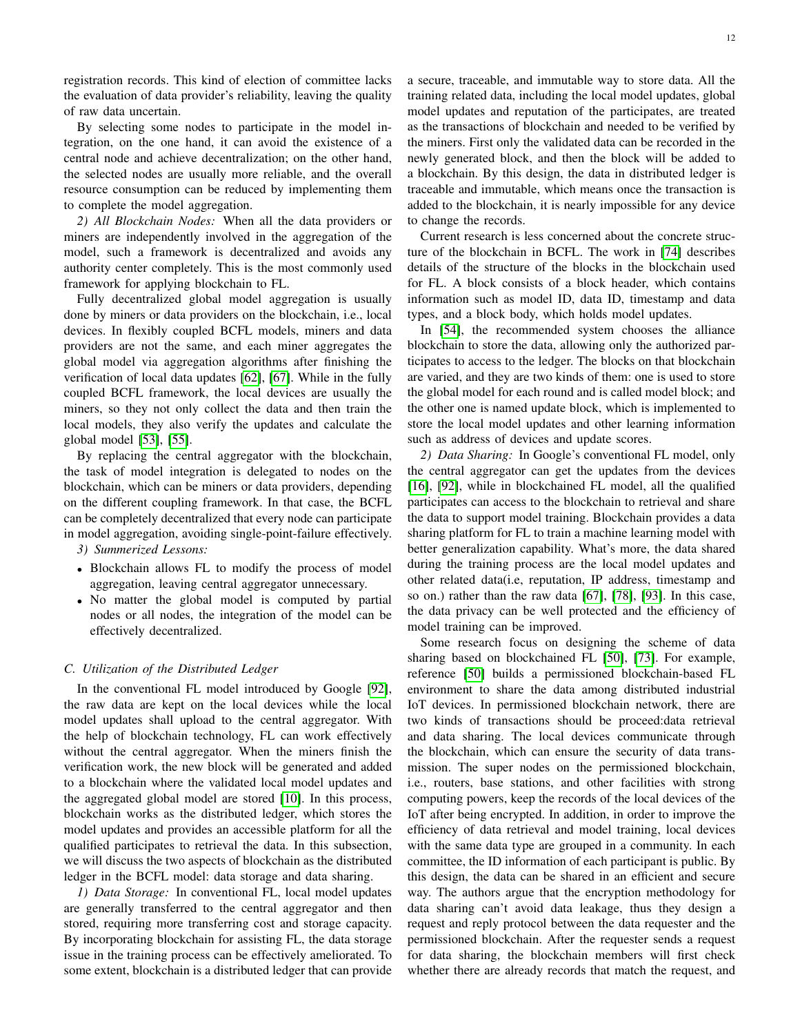registration records. This kind of election of committee lacks the evaluation of data provider's reliability, leaving the quality of raw data uncertain.

By selecting some nodes to participate in the model integration, on the one hand, it can avoid the existence of a central node and achieve decentralization; on the other hand, the selected nodes are usually more reliable, and the overall resource consumption can be reduced by implementing them to complete the model aggregation.

*2) All Blockchain Nodes:* When all the data providers or miners are independently involved in the aggregation of the model, such a framework is decentralized and avoids any authority center completely. This is the most commonly used framework for applying blockchain to FL.

Fully decentralized global model aggregation is usually done by miners or data providers on the blockchain, i.e., local devices. In flexibly coupled BCFL models, miners and data providers are not the same, and each miner aggregates the global model via aggregation algorithms after finishing the verification of local data updates [\[62\]](#page-16-23), [\[67\]](#page-16-40). While in the fully coupled BCFL framework, the local devices are usually the miners, so they not only collect the data and then train the local models, they also verify the updates and calculate the global model [\[53\]](#page-16-28), [\[55\]](#page-16-30).

By replacing the central aggregator with the blockchain, the task of model integration is delegated to nodes on the blockchain, which can be miners or data providers, depending on the different coupling framework. In that case, the BCFL can be completely decentralized that every node can participate in model aggregation, avoiding single-point-failure effectively.

*3) Summerized Lessons:*

- Blockchain allows FL to modify the process of model aggregation, leaving central aggregator unnecessary.
- No matter the global model is computed by partial nodes or all nodes, the integration of the model can be effectively decentralized.

## *C. Utilization of the Distributed Ledger*

In the conventional FL model introduced by Google [\[92\]](#page-17-22), the raw data are kept on the local devices while the local model updates shall upload to the central aggregator. With the help of blockchain technology, FL can work effectively without the central aggregator. When the miners finish the verification work, the new block will be generated and added to a blockchain where the validated local model updates and the aggregated global model are stored [\[10\]](#page-15-8). In this process, blockchain works as the distributed ledger, which stores the model updates and provides an accessible platform for all the qualified participates to retrieval the data. In this subsection, we will discuss the two aspects of blockchain as the distributed ledger in the BCFL model: data storage and data sharing.

*1) Data Storage:* In conventional FL, local model updates are generally transferred to the central aggregator and then stored, requiring more transferring cost and storage capacity. By incorporating blockchain for assisting FL, the data storage issue in the training process can be effectively ameliorated. To some extent, blockchain is a distributed ledger that can provide a secure, traceable, and immutable way to store data. All the training related data, including the local model updates, global model updates and reputation of the participates, are treated as the transactions of blockchain and needed to be verified by the miners. First only the validated data can be recorded in the newly generated block, and then the block will be added to a blockchain. By this design, the data in distributed ledger is traceable and immutable, which means once the transaction is added to the blockchain, it is nearly impossible for any device to change the records.

Current research is less concerned about the concrete structure of the blockchain in BCFL. The work in [\[74\]](#page-17-5) describes details of the structure of the blocks in the blockchain used for FL. A block consists of a block header, which contains information such as model ID, data ID, timestamp and data types, and a block body, which holds model updates.

In [\[54\]](#page-16-29), the recommended system chooses the alliance blockchain to store the data, allowing only the authorized participates to access to the ledger. The blocks on that blockchain are varied, and they are two kinds of them: one is used to store the global model for each round and is called model block; and the other one is named update block, which is implemented to store the local model updates and other learning information such as address of devices and update scores.

*2) Data Sharing:* In Google's conventional FL model, only the central aggregator can get the updates from the devices [\[16\]](#page-15-14), [\[92\]](#page-17-22), while in blockchained FL model, all the qualified participates can access to the blockchain to retrieval and share the data to support model training. Blockchain provides a data sharing platform for FL to train a machine learning model with better generalization capability. What's more, the data shared during the training process are the local model updates and other related data(i.e, reputation, IP address, timestamp and so on.) rather than the raw data [\[67\]](#page-16-40), [\[78\]](#page-17-9), [\[93\]](#page-17-23). In this case, the data privacy can be well protected and the efficiency of model training can be improved.

Some research focus on designing the scheme of data sharing based on blockchained FL [\[50\]](#page-16-25), [\[73\]](#page-17-4). For example, reference [\[50\]](#page-16-25) builds a permissioned blockchain-based FL environment to share the data among distributed industrial IoT devices. In permissioned blockchain network, there are two kinds of transactions should be proceed:data retrieval and data sharing. The local devices communicate through the blockchain, which can ensure the security of data transmission. The super nodes on the permissioned blockchain, i.e., routers, base stations, and other facilities with strong computing powers, keep the records of the local devices of the IoT after being encrypted. In addition, in order to improve the efficiency of data retrieval and model training, local devices with the same data type are grouped in a community. In each committee, the ID information of each participant is public. By this design, the data can be shared in an efficient and secure way. The authors argue that the encryption methodology for data sharing can't avoid data leakage, thus they design a request and reply protocol between the data requester and the permissioned blockchain. After the requester sends a request for data sharing, the blockchain members will first check whether there are already records that match the request, and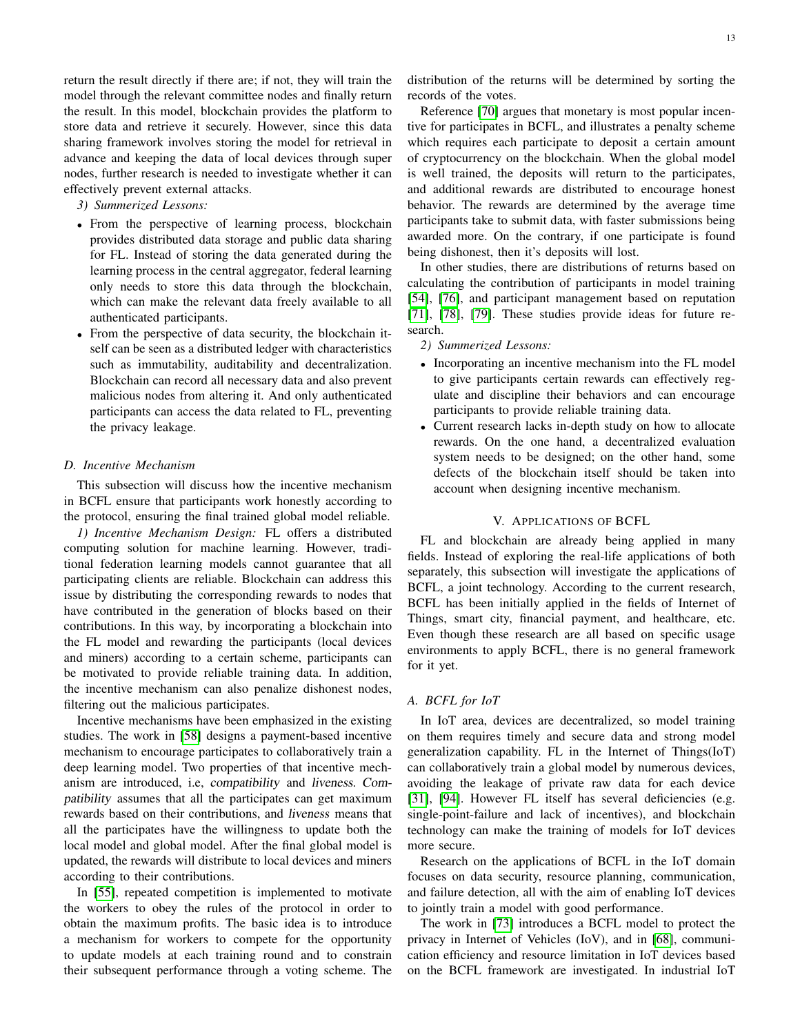return the result directly if there are; if not, they will train the model through the relevant committee nodes and finally return the result. In this model, blockchain provides the platform to store data and retrieve it securely. However, since this data sharing framework involves storing the model for retrieval in advance and keeping the data of local devices through super nodes, further research is needed to investigate whether it can effectively prevent external attacks.

- *3) Summerized Lessons:*
- From the perspective of learning process, blockchain provides distributed data storage and public data sharing for FL. Instead of storing the data generated during the learning process in the central aggregator, federal learning only needs to store this data through the blockchain, which can make the relevant data freely available to all authenticated participants.
- From the perspective of data security, the blockchain itself can be seen as a distributed ledger with characteristics such as immutability, auditability and decentralization. Blockchain can record all necessary data and also prevent malicious nodes from altering it. And only authenticated participants can access the data related to FL, preventing the privacy leakage.

## *D. Incentive Mechanism*

This subsection will discuss how the incentive mechanism in BCFL ensure that participants work honestly according to the protocol, ensuring the final trained global model reliable.

*1) Incentive Mechanism Design:* FL offers a distributed computing solution for machine learning. However, traditional federation learning models cannot guarantee that all participating clients are reliable. Blockchain can address this issue by distributing the corresponding rewards to nodes that have contributed in the generation of blocks based on their contributions. In this way, by incorporating a blockchain into the FL model and rewarding the participants (local devices and miners) according to a certain scheme, participants can be motivated to provide reliable training data. In addition, the incentive mechanism can also penalize dishonest nodes, filtering out the malicious participates.

Incentive mechanisms have been emphasized in the existing studies. The work in [\[58\]](#page-16-32) designs a payment-based incentive mechanism to encourage participates to collaboratively train a deep learning model. Two properties of that incentive mechanism are introduced, i.e, compatibility and liveness. Compatibility assumes that all the participates can get maximum rewards based on their contributions, and liveness means that all the participates have the willingness to update both the local model and global model. After the final global model is updated, the rewards will distribute to local devices and miners according to their contributions.

In [\[55\]](#page-16-30), repeated competition is implemented to motivate the workers to obey the rules of the protocol in order to obtain the maximum profits. The basic idea is to introduce a mechanism for workers to compete for the opportunity to update models at each training round and to constrain their subsequent performance through a voting scheme. The distribution of the returns will be determined by sorting the records of the votes.

Reference [\[70\]](#page-17-1) argues that monetary is most popular incentive for participates in BCFL, and illustrates a penalty scheme which requires each participate to deposit a certain amount of cryptocurrency on the blockchain. When the global model is well trained, the deposits will return to the participates, and additional rewards are distributed to encourage honest behavior. The rewards are determined by the average time participants take to submit data, with faster submissions being awarded more. On the contrary, if one participate is found being dishonest, then it's deposits will lost.

In other studies, there are distributions of returns based on calculating the contribution of participants in model training [\[54\]](#page-16-29), [\[76\]](#page-17-7), and participant management based on reputation [\[71\]](#page-17-2), [\[78\]](#page-17-9), [\[79\]](#page-17-10). These studies provide ideas for future research.

## *2) Summerized Lessons:*

- Incorporating an incentive mechanism into the FL model to give participants certain rewards can effectively regulate and discipline their behaviors and can encourage participants to provide reliable training data.
- Current research lacks in-depth study on how to allocate rewards. On the one hand, a decentralized evaluation system needs to be designed; on the other hand, some defects of the blockchain itself should be taken into account when designing incentive mechanism.

## V. APPLICATIONS OF BCFL

<span id="page-12-0"></span>FL and blockchain are already being applied in many fields. Instead of exploring the real-life applications of both separately, this subsection will investigate the applications of BCFL, a joint technology. According to the current research, BCFL has been initially applied in the fields of Internet of Things, smart city, financial payment, and healthcare, etc. Even though these research are all based on specific usage environments to apply BCFL, there is no general framework for it yet.

# *A. BCFL for IoT*

In IoT area, devices are decentralized, so model training on them requires timely and secure data and strong model generalization capability. FL in the Internet of Things(IoT) can collaboratively train a global model by numerous devices, avoiding the leakage of private raw data for each device [\[31\]](#page-16-5), [\[94\]](#page-17-24). However FL itself has several deficiencies (e.g. single-point-failure and lack of incentives), and blockchain technology can make the training of models for IoT devices more secure.

Research on the applications of BCFL in the IoT domain focuses on data security, resource planning, communication, and failure detection, all with the aim of enabling IoT devices to jointly train a model with good performance.

The work in [\[73\]](#page-17-4) introduces a BCFL model to protect the privacy in Internet of Vehicles (IoV), and in [\[68\]](#page-16-41), communication efficiency and resource limitation in IoT devices based on the BCFL framework are investigated. In industrial IoT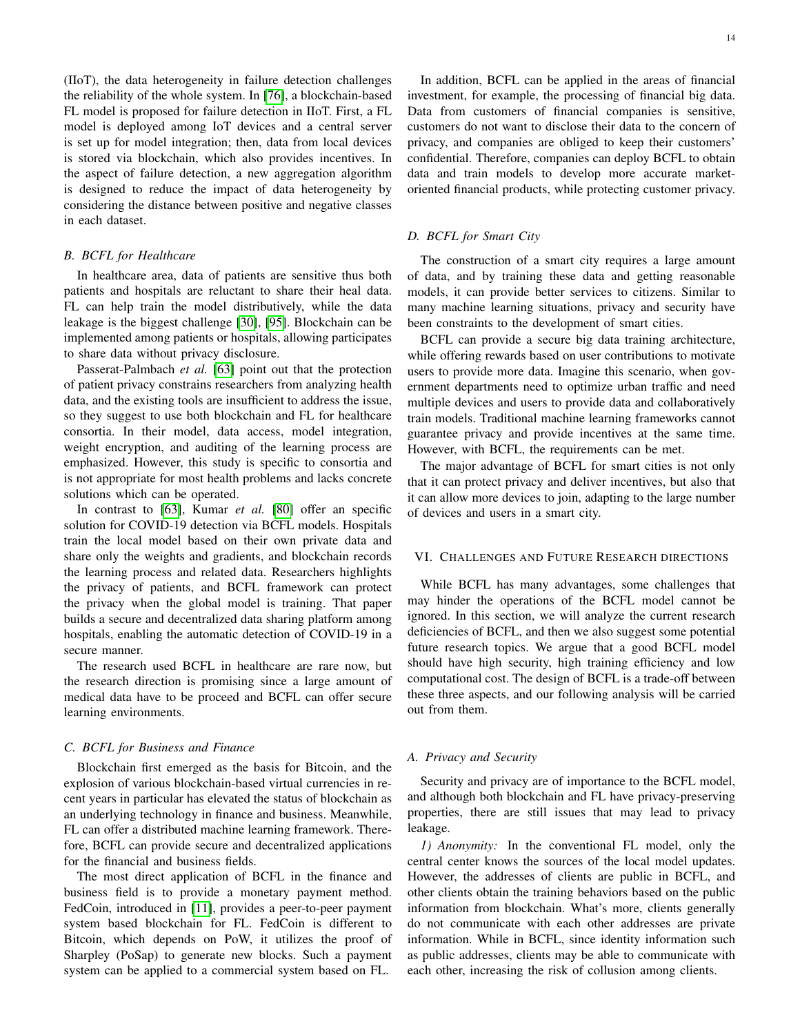(IIoT), the data heterogeneity in failure detection challenges the reliability of the whole system. In [\[76\]](#page-17-7), a blockchain-based FL model is proposed for failure detection in IIoT. First, a FL model is deployed among IoT devices and a central server is set up for model integration; then, data from local devices is stored via blockchain, which also provides incentives. In the aspect of failure detection, a new aggregation algorithm is designed to reduce the impact of data heterogeneity by considering the distance between positive and negative classes in each dataset.

# *B. BCFL for Healthcare*

In healthcare area, data of patients are sensitive thus both patients and hospitals are reluctant to share their heal data. FL can help train the model distributively, while the data leakage is the biggest challenge [\[30\]](#page-16-4), [\[95\]](#page-17-25). Blockchain can be implemented among patients or hospitals, allowing participates to share data without privacy disclosure.

Passerat-Palmbach *et al.* [\[63\]](#page-16-36) point out that the protection of patient privacy constrains researchers from analyzing health data, and the existing tools are insufficient to address the issue, so they suggest to use both blockchain and FL for healthcare consortia. In their model, data access, model integration, weight encryption, and auditing of the learning process are emphasized. However, this study is specific to consortia and is not appropriate for most health problems and lacks concrete solutions which can be operated.

In contrast to [\[63\]](#page-16-36), Kumar *et al.* [\[80\]](#page-17-11) offer an specific solution for COVID-19 detection via BCFL models. Hospitals train the local model based on their own private data and share only the weights and gradients, and blockchain records the learning process and related data. Researchers highlights the privacy of patients, and BCFL framework can protect the privacy when the global model is training. That paper builds a secure and decentralized data sharing platform among hospitals, enabling the automatic detection of COVID-19 in a secure manner.

The research used BCFL in healthcare are rare now, but the research direction is promising since a large amount of medical data have to be proceed and BCFL can offer secure learning environments.

#### *C. BCFL for Business and Finance*

Blockchain first emerged as the basis for Bitcoin, and the explosion of various blockchain-based virtual currencies in recent years in particular has elevated the status of blockchain as an underlying technology in finance and business. Meanwhile, FL can offer a distributed machine learning framework. Therefore, BCFL can provide secure and decentralized applications for the financial and business fields.

The most direct application of BCFL in the finance and business field is to provide a monetary payment method. FedCoin, introduced in [\[11\]](#page-15-9), provides a peer-to-peer payment system based blockchain for FL. FedCoin is different to Bitcoin, which depends on PoW, it utilizes the proof of Sharpley (PoSap) to generate new blocks. Such a payment system can be applied to a commercial system based on FL.

In addition, BCFL can be applied in the areas of financial investment, for example, the processing of financial big data. Data from customers of financial companies is sensitive, customers do not want to disclose their data to the concern of privacy, and companies are obliged to keep their customers' confidential. Therefore, companies can deploy BCFL to obtain data and train models to develop more accurate marketoriented financial products, while protecting customer privacy.

# *D. BCFL for Smart City*

The construction of a smart city requires a large amount of data, and by training these data and getting reasonable models, it can provide better services to citizens. Similar to many machine learning situations, privacy and security have been constraints to the development of smart cities.

BCFL can provide a secure big data training architecture, while offering rewards based on user contributions to motivate users to provide more data. Imagine this scenario, when government departments need to optimize urban traffic and need multiple devices and users to provide data and collaboratively train models. Traditional machine learning frameworks cannot guarantee privacy and provide incentives at the same time. However, with BCFL, the requirements can be met.

The major advantage of BCFL for smart cities is not only that it can protect privacy and deliver incentives, but also that it can allow more devices to join, adapting to the large number of devices and users in a smart city.

#### <span id="page-13-0"></span>VI. CHALLENGES AND FUTURE RESEARCH DIRECTIONS

While BCFL has many advantages, some challenges that may hinder the operations of the BCFL model cannot be ignored. In this section, we will analyze the current research deficiencies of BCFL, and then we also suggest some potential future research topics. We argue that a good BCFL model should have high security, high training efficiency and low computational cost. The design of BCFL is a trade-off between these three aspects, and our following analysis will be carried out from them.

#### *A. Privacy and Security*

Security and privacy are of importance to the BCFL model, and although both blockchain and FL have privacy-preserving properties, there are still issues that may lead to privacy leakage.

*1) Anonymity:* In the conventional FL model, only the central center knows the sources of the local model updates. However, the addresses of clients are public in BCFL, and other clients obtain the training behaviors based on the public information from blockchain. What's more, clients generally do not communicate with each other addresses are private information. While in BCFL, since identity information such as public addresses, clients may be able to communicate with each other, increasing the risk of collusion among clients.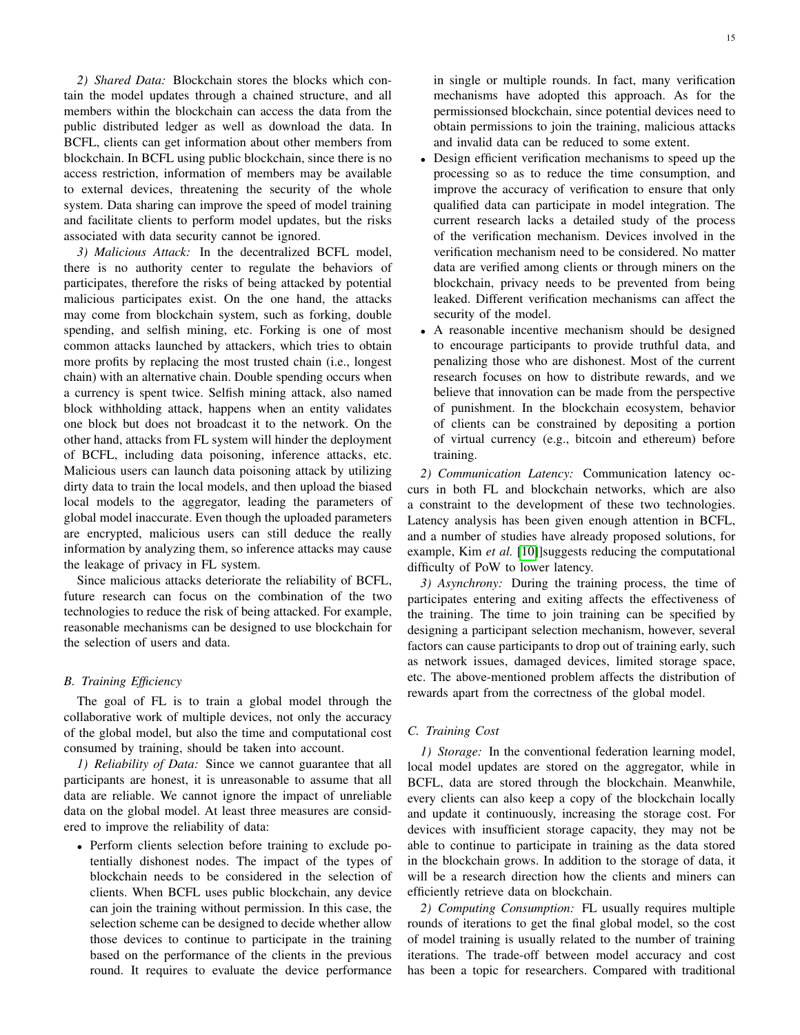*2) Shared Data:* Blockchain stores the blocks which contain the model updates through a chained structure, and all members within the blockchain can access the data from the public distributed ledger as well as download the data. In BCFL, clients can get information about other members from blockchain. In BCFL using public blockchain, since there is no access restriction, information of members may be available to external devices, threatening the security of the whole system. Data sharing can improve the speed of model training and facilitate clients to perform model updates, but the risks associated with data security cannot be ignored.

*3) Malicious Attack:* In the decentralized BCFL model, there is no authority center to regulate the behaviors of participates, therefore the risks of being attacked by potential malicious participates exist. On the one hand, the attacks may come from blockchain system, such as forking, double spending, and selfish mining, etc. Forking is one of most common attacks launched by attackers, which tries to obtain more profits by replacing the most trusted chain (i.e., longest chain) with an alternative chain. Double spending occurs when a currency is spent twice. Selfish mining attack, also named block withholding attack, happens when an entity validates one block but does not broadcast it to the network. On the other hand, attacks from FL system will hinder the deployment of BCFL, including data poisoning, inference attacks, etc. Malicious users can launch data poisoning attack by utilizing dirty data to train the local models, and then upload the biased local models to the aggregator, leading the parameters of global model inaccurate. Even though the uploaded parameters are encrypted, malicious users can still deduce the really information by analyzing them, so inference attacks may cause the leakage of privacy in FL system.

Since malicious attacks deteriorate the reliability of BCFL, future research can focus on the combination of the two technologies to reduce the risk of being attacked. For example, reasonable mechanisms can be designed to use blockchain for the selection of users and data.

# *B. Training Efficiency*

The goal of FL is to train a global model through the collaborative work of multiple devices, not only the accuracy of the global model, but also the time and computational cost consumed by training, should be taken into account.

*1) Reliability of Data:* Since we cannot guarantee that all participants are honest, it is unreasonable to assume that all data are reliable. We cannot ignore the impact of unreliable data on the global model. At least three measures are considered to improve the reliability of data:

• Perform clients selection before training to exclude potentially dishonest nodes. The impact of the types of blockchain needs to be considered in the selection of clients. When BCFL uses public blockchain, any device can join the training without permission. In this case, the selection scheme can be designed to decide whether allow those devices to continue to participate in the training based on the performance of the clients in the previous round. It requires to evaluate the device performance

in single or multiple rounds. In fact, many verification mechanisms have adopted this approach. As for the permissionsed blockchain, since potential devices need to obtain permissions to join the training, malicious attacks and invalid data can be reduced to some extent.

- Design efficient verification mechanisms to speed up the processing so as to reduce the time consumption, and improve the accuracy of verification to ensure that only qualified data can participate in model integration. The current research lacks a detailed study of the process of the verification mechanism. Devices involved in the verification mechanism need to be considered. No matter data are verified among clients or through miners on the blockchain, privacy needs to be prevented from being leaked. Different verification mechanisms can affect the security of the model.
- A reasonable incentive mechanism should be designed to encourage participants to provide truthful data, and penalizing those who are dishonest. Most of the current research focuses on how to distribute rewards, and we believe that innovation can be made from the perspective of punishment. In the blockchain ecosystem, behavior of clients can be constrained by depositing a portion of virtual currency (e.g., bitcoin and ethereum) before training.

*2) Communication Latency:* Communication latency occurs in both FL and blockchain networks, which are also a constraint to the development of these two technologies. Latency analysis has been given enough attention in BCFL, and a number of studies have already proposed solutions, for example, Kim *et al.* [\[10\]](#page-15-8)]suggests reducing the computational difficulty of PoW to lower latency.

*3) Asynchrony:* During the training process, the time of participates entering and exiting affects the effectiveness of the training. The time to join training can be specified by designing a participant selection mechanism, however, several factors can cause participants to drop out of training early, such as network issues, damaged devices, limited storage space, etc. The above-mentioned problem affects the distribution of rewards apart from the correctness of the global model.

# *C. Training Cost*

*1) Storage:* In the conventional federation learning model, local model updates are stored on the aggregator, while in BCFL, data are stored through the blockchain. Meanwhile, every clients can also keep a copy of the blockchain locally and update it continuously, increasing the storage cost. For devices with insufficient storage capacity, they may not be able to continue to participate in training as the data stored in the blockchain grows. In addition to the storage of data, it will be a research direction how the clients and miners can efficiently retrieve data on blockchain.

*2) Computing Consumption:* FL usually requires multiple rounds of iterations to get the final global model, so the cost of model training is usually related to the number of training iterations. The trade-off between model accuracy and cost has been a topic for researchers. Compared with traditional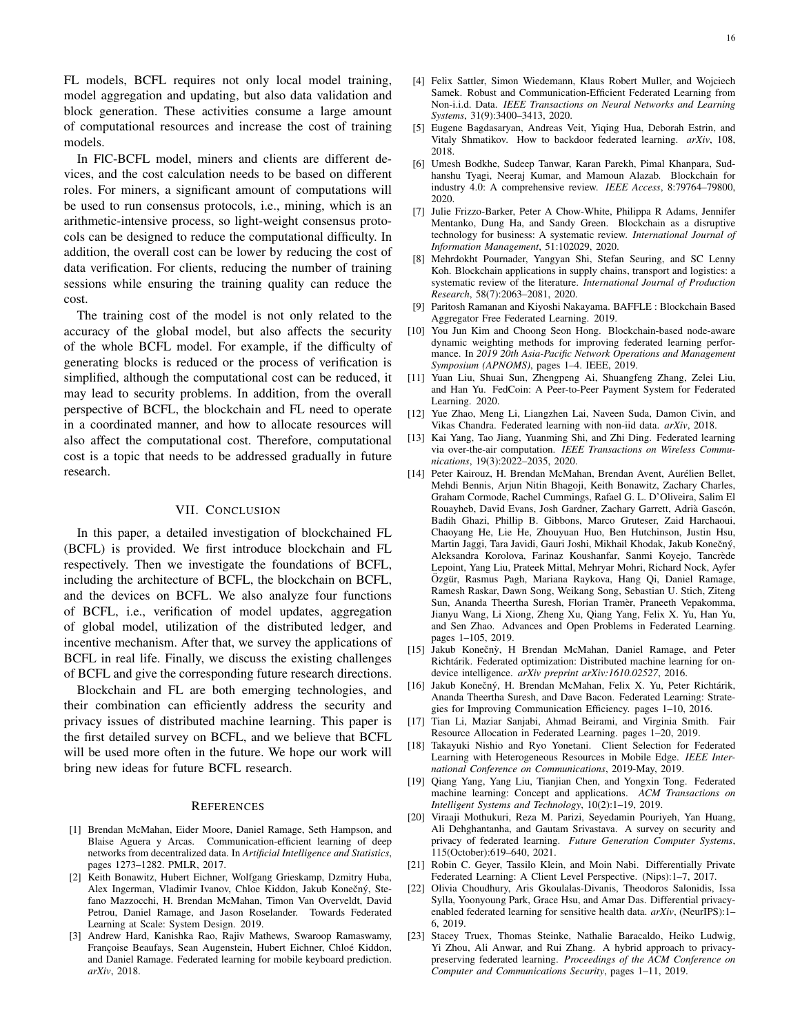FL models, BCFL requires not only local model training, model aggregation and updating, but also data validation and block generation. These activities consume a large amount of computational resources and increase the cost of training models.

In FlC-BCFL model, miners and clients are different devices, and the cost calculation needs to be based on different roles. For miners, a significant amount of computations will be used to run consensus protocols, i.e., mining, which is an arithmetic-intensive process, so light-weight consensus protocols can be designed to reduce the computational difficulty. In addition, the overall cost can be lower by reducing the cost of data verification. For clients, reducing the number of training sessions while ensuring the training quality can reduce the cost.

The training cost of the model is not only related to the accuracy of the global model, but also affects the security of the whole BCFL model. For example, if the difficulty of generating blocks is reduced or the process of verification is simplified, although the computational cost can be reduced, it may lead to security problems. In addition, from the overall perspective of BCFL, the blockchain and FL need to operate in a coordinated manner, and how to allocate resources will also affect the computational cost. Therefore, computational cost is a topic that needs to be addressed gradually in future research.

# VII. CONCLUSION

<span id="page-15-10"></span>In this paper, a detailed investigation of blockchained FL (BCFL) is provided. We first introduce blockchain and FL respectively. Then we investigate the foundations of BCFL, including the architecture of BCFL, the blockchain on BCFL, and the devices on BCFL. We also analyze four functions of BCFL, i.e., verification of model updates, aggregation of global model, utilization of the distributed ledger, and incentive mechanism. After that, we survey the applications of BCFL in real life. Finally, we discuss the existing challenges of BCFL and give the corresponding future research directions.

Blockchain and FL are both emerging technologies, and their combination can efficiently address the security and privacy issues of distributed machine learning. This paper is the first detailed survey on BCFL, and we believe that BCFL will be used more often in the future. We hope our work will bring new ideas for future BCFL research.

#### REFERENCES

- <span id="page-15-0"></span>[1] Brendan McMahan, Eider Moore, Daniel Ramage, Seth Hampson, and Blaise Aguera y Arcas. Communication-efficient learning of deep networks from decentralized data. In *Artificial Intelligence and Statistics*, pages 1273–1282. PMLR, 2017.
- <span id="page-15-1"></span>[2] Keith Bonawitz, Hubert Eichner, Wolfgang Grieskamp, Dzmitry Huba, Alex Ingerman, Vladimir Ivanov, Chloe Kiddon, Jakub Konečný, Stefano Mazzocchi, H. Brendan McMahan, Timon Van Overveldt, David Petrou, Daniel Ramage, and Jason Roselander. Towards Federated Learning at Scale: System Design. 2019.
- <span id="page-15-2"></span>[3] Andrew Hard, Kanishka Rao, Rajiv Mathews, Swaroop Ramaswamy, Françoise Beaufays, Sean Augenstein, Hubert Eichner, Chloé Kiddon, and Daniel Ramage. Federated learning for mobile keyboard prediction. *arXiv*, 2018.
- <span id="page-15-3"></span>[4] Felix Sattler, Simon Wiedemann, Klaus Robert Muller, and Wojciech Samek. Robust and Communication-Efficient Federated Learning from Non-i.i.d. Data. *IEEE Transactions on Neural Networks and Learning Systems*, 31(9):3400–3413, 2020.
- <span id="page-15-4"></span>[5] Eugene Bagdasaryan, Andreas Veit, Yiqing Hua, Deborah Estrin, and Vitaly Shmatikov. How to backdoor federated learning. *arXiv*, 108, 2018.
- <span id="page-15-5"></span>[6] Umesh Bodkhe, Sudeep Tanwar, Karan Parekh, Pimal Khanpara, Sudhanshu Tyagi, Neeraj Kumar, and Mamoun Alazab. Blockchain for industry 4.0: A comprehensive review. *IEEE Access*, 8:79764–79800, 2020.
- [7] Julie Frizzo-Barker, Peter A Chow-White, Philippa R Adams, Jennifer Mentanko, Dung Ha, and Sandy Green. Blockchain as a disruptive technology for business: A systematic review. *International Journal of Information Management*, 51:102029, 2020.
- <span id="page-15-6"></span>[8] Mehrdokht Pournader, Yangyan Shi, Stefan Seuring, and SC Lenny Koh. Blockchain applications in supply chains, transport and logistics: a systematic review of the literature. *International Journal of Production Research*, 58(7):2063–2081, 2020.
- <span id="page-15-7"></span>[9] Paritosh Ramanan and Kiyoshi Nakayama. BAFFLE : Blockchain Based Aggregator Free Federated Learning. 2019.
- <span id="page-15-8"></span>[10] You Jun Kim and Choong Seon Hong. Blockchain-based node-aware dynamic weighting methods for improving federated learning performance. In *2019 20th Asia-Pacific Network Operations and Management Symposium (APNOMS)*, pages 1–4. IEEE, 2019.
- <span id="page-15-9"></span>[11] Yuan Liu, Shuai Sun, Zhengpeng Ai, Shuangfeng Zhang, Zelei Liu, and Han Yu. FedCoin: A Peer-to-Peer Payment System for Federated Learning. 2020.
- <span id="page-15-11"></span>[12] Yue Zhao, Meng Li, Liangzhen Lai, Naveen Suda, Damon Civin, and Vikas Chandra. Federated learning with non-iid data. *arXiv*, 2018.
- [13] Kai Yang, Tao Jiang, Yuanming Shi, and Zhi Ding. Federated learning via over-the-air computation. *IEEE Transactions on Wireless Communications*, 19(3):2022–2035, 2020.
- <span id="page-15-12"></span>[14] Peter Kairouz, H. Brendan McMahan, Brendan Avent, Aurelien Bellet, ´ Mehdi Bennis, Arjun Nitin Bhagoji, Keith Bonawitz, Zachary Charles, Graham Cormode, Rachel Cummings, Rafael G. L. D'Oliveira, Salim El Rouayheb, David Evans, Josh Gardner, Zachary Garrett, Adrià Gascón, Badih Ghazi, Phillip B. Gibbons, Marco Gruteser, Zaid Harchaoui, Chaoyang He, Lie He, Zhouyuan Huo, Ben Hutchinson, Justin Hsu, Martin Jaggi, Tara Javidi, Gauri Joshi, Mikhail Khodak, Jakub Konečný, Aleksandra Korolova, Farinaz Koushanfar, Sanmi Koyejo, Tancrède Lepoint, Yang Liu, Prateek Mittal, Mehryar Mohri, Richard Nock, Ayfer Özgür, Rasmus Pagh, Mariana Raykova, Hang Qi, Daniel Ramage, Ramesh Raskar, Dawn Song, Weikang Song, Sebastian U. Stich, Ziteng Sun, Ananda Theertha Suresh, Florian Tramèr, Praneeth Vepakomma, Jianyu Wang, Li Xiong, Zheng Xu, Qiang Yang, Felix X. Yu, Han Yu, and Sen Zhao. Advances and Open Problems in Federated Learning. pages 1–105, 2019.
- <span id="page-15-13"></span>[15] Jakub Konečnỳ, H Brendan McMahan, Daniel Ramage, and Peter Richtárik. Federated optimization: Distributed machine learning for ondevice intelligence. *arXiv preprint arXiv:1610.02527*, 2016.
- <span id="page-15-14"></span>[16] Jakub Konečný, H. Brendan McMahan, Felix X. Yu, Peter Richtárik, Ananda Theertha Suresh, and Dave Bacon. Federated Learning: Strategies for Improving Communication Efficiency. pages 1–10, 2016.
- <span id="page-15-15"></span>[17] Tian Li, Maziar Sanjabi, Ahmad Beirami, and Virginia Smith. Fair Resource Allocation in Federated Learning. pages 1–20, 2019.
- <span id="page-15-16"></span>[18] Takayuki Nishio and Ryo Yonetani. Client Selection for Federated Learning with Heterogeneous Resources in Mobile Edge. *IEEE International Conference on Communications*, 2019-May, 2019.
- <span id="page-15-17"></span>[19] Qiang Yang, Yang Liu, Tianjian Chen, and Yongxin Tong. Federated machine learning: Concept and applications. *ACM Transactions on Intelligent Systems and Technology*, 10(2):1–19, 2019.
- <span id="page-15-18"></span>[20] Viraaji Mothukuri, Reza M. Parizi, Seyedamin Pouriyeh, Yan Huang, Ali Dehghantanha, and Gautam Srivastava. A survey on security and privacy of federated learning. *Future Generation Computer Systems*, 115(October):619–640, 2021.
- <span id="page-15-19"></span>[21] Robin C. Geyer, Tassilo Klein, and Moin Nabi. Differentially Private Federated Learning: A Client Level Perspective. (Nips):1–7, 2017.
- [22] Olivia Choudhury, Aris Gkoulalas-Divanis, Theodoros Salonidis, Issa Sylla, Yoonyoung Park, Grace Hsu, and Amar Das. Differential privacyenabled federated learning for sensitive health data. *arXiv*, (NeurIPS):1– 6, 2019.
- <span id="page-15-20"></span>[23] Stacey Truex, Thomas Steinke, Nathalie Baracaldo, Heiko Ludwig, Yi Zhou, Ali Anwar, and Rui Zhang. A hybrid approach to privacypreserving federated learning. *Proceedings of the ACM Conference on Computer and Communications Security*, pages 1–11, 2019.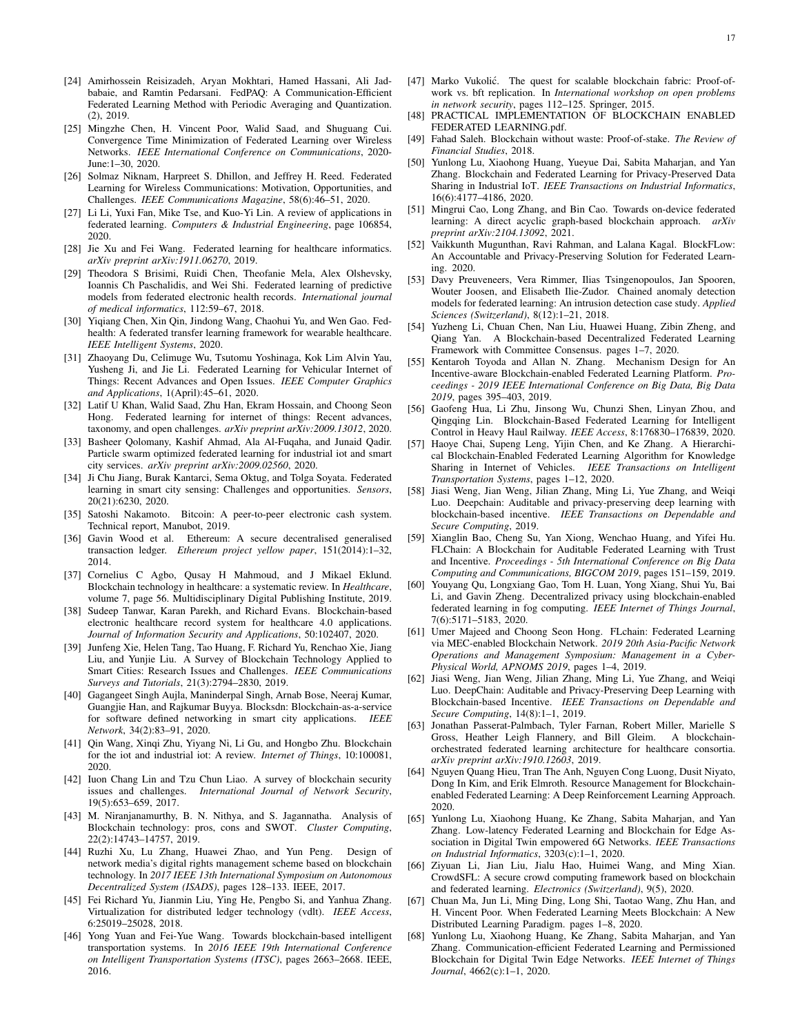- <span id="page-16-0"></span>[24] Amirhossein Reisizadeh, Aryan Mokhtari, Hamed Hassani, Ali Jadbabaie, and Ramtin Pedarsani. FedPAQ: A Communication-Efficient Federated Learning Method with Periodic Averaging and Quantization. (2), 2019.
- <span id="page-16-1"></span>[25] Mingzhe Chen, H. Vincent Poor, Walid Saad, and Shuguang Cui. Convergence Time Minimization of Federated Learning over Wireless Networks. *IEEE International Conference on Communications*, 2020- June:1–30, 2020.
- [26] Solmaz Niknam, Harpreet S. Dhillon, and Jeffrey H. Reed. Federated Learning for Wireless Communications: Motivation, Opportunities, and Challenges. *IEEE Communications Magazine*, 58(6):46–51, 2020.
- <span id="page-16-2"></span>[27] Li Li, Yuxi Fan, Mike Tse, and Kuo-Yi Lin. A review of applications in federated learning. *Computers & Industrial Engineering*, page 106854, 2020.
- <span id="page-16-3"></span>[28] Jie Xu and Fei Wang. Federated learning for healthcare informatics. *arXiv preprint arXiv:1911.06270*, 2019.
- [29] Theodora S Brisimi, Ruidi Chen, Theofanie Mela, Alex Olshevsky, Ioannis Ch Paschalidis, and Wei Shi. Federated learning of predictive models from federated electronic health records. *International journal of medical informatics*, 112:59–67, 2018.
- <span id="page-16-4"></span>[30] Yiqiang Chen, Xin Qin, Jindong Wang, Chaohui Yu, and Wen Gao. Fedhealth: A federated transfer learning framework for wearable healthcare. *IEEE Intelligent Systems*, 2020.
- <span id="page-16-5"></span>[31] Zhaoyang Du, Celimuge Wu, Tsutomu Yoshinaga, Kok Lim Alvin Yau, Yusheng Ji, and Jie Li. Federated Learning for Vehicular Internet of Things: Recent Advances and Open Issues. *IEEE Computer Graphics and Applications*, 1(April):45–61, 2020.
- <span id="page-16-6"></span>[32] Latif U Khan, Walid Saad, Zhu Han, Ekram Hossain, and Choong Seon Hong. Federated learning for internet of things: Recent advances, taxonomy, and open challenges. *arXiv preprint arXiv:2009.13012*, 2020.
- <span id="page-16-7"></span>[33] Basheer Qolomany, Kashif Ahmad, Ala Al-Fuqaha, and Junaid Qadir. Particle swarm optimized federated learning for industrial iot and smart city services. *arXiv preprint arXiv:2009.02560*, 2020.
- <span id="page-16-8"></span>[34] Ji Chu Jiang, Burak Kantarci, Sema Oktug, and Tolga Soyata. Federated learning in smart city sensing: Challenges and opportunities. *Sensors*, 20(21):6230, 2020.
- <span id="page-16-9"></span>[35] Satoshi Nakamoto. Bitcoin: A peer-to-peer electronic cash system. Technical report, Manubot, 2019.
- <span id="page-16-10"></span>[36] Gavin Wood et al. Ethereum: A secure decentralised generalised transaction ledger. *Ethereum project yellow paper*, 151(2014):1–32, 2014.
- <span id="page-16-11"></span>[37] Cornelius C Agbo, Qusay H Mahmoud, and J Mikael Eklund. Blockchain technology in healthcare: a systematic review. In *Healthcare*, volume 7, page 56. Multidisciplinary Digital Publishing Institute, 2019.
- <span id="page-16-12"></span>[38] Sudeep Tanwar, Karan Parekh, and Richard Evans. Blockchain-based electronic healthcare record system for healthcare 4.0 applications. *Journal of Information Security and Applications*, 50:102407, 2020.
- <span id="page-16-13"></span>[39] Junfeng Xie, Helen Tang, Tao Huang, F. Richard Yu, Renchao Xie, Jiang Liu, and Yunjie Liu. A Survey of Blockchain Technology Applied to Smart Cities: Research Issues and Challenges. *IEEE Communications Surveys and Tutorials*, 21(3):2794–2830, 2019.
- <span id="page-16-14"></span>[40] Gagangeet Singh Aujla, Maninderpal Singh, Arnab Bose, Neeraj Kumar, Guangjie Han, and Rajkumar Buyya. Blocksdn: Blockchain-as-a-service for software defined networking in smart city applications. *IEEE Network*, 34(2):83–91, 2020.
- <span id="page-16-15"></span>[41] Qin Wang, Xinqi Zhu, Yiyang Ni, Li Gu, and Hongbo Zhu. Blockchain for the iot and industrial iot: A review. *Internet of Things*, 10:100081, 2020.
- <span id="page-16-16"></span>[42] Iuon Chang Lin and Tzu Chun Liao. A survey of blockchain security issues and challenges. *International Journal of Network Security*, 19(5):653–659, 2017.
- <span id="page-16-17"></span>[43] M. Niranjanamurthy, B. N. Nithya, and S. Jagannatha. Analysis of Blockchain technology: pros, cons and SWOT. *Cluster Computing*, 22(2):14743–14757, 2019.
- <span id="page-16-18"></span>[44] Ruzhi Xu, Lu Zhang, Huawei Zhao, and Yun Peng. Design of network media's digital rights management scheme based on blockchain technology. In *2017 IEEE 13th International Symposium on Autonomous Decentralized System (ISADS)*, pages 128–133. IEEE, 2017.
- [45] Fei Richard Yu, Jianmin Liu, Ying He, Pengbo Si, and Yanhua Zhang. Virtualization for distributed ledger technology (vdlt). *IEEE Access*, 6:25019–25028, 2018.
- <span id="page-16-19"></span>[46] Yong Yuan and Fei-Yue Wang. Towards blockchain-based intelligent transportation systems. In *2016 IEEE 19th International Conference on Intelligent Transportation Systems (ITSC)*, pages 2663–2668. IEEE, 2016.
- <span id="page-16-20"></span>[47] Marko Vukolić. The quest for scalable blockchain fabric: Proof-ofwork vs. bft replication. In *International workshop on open problems in network security*, pages 112–125. Springer, 2015.
- <span id="page-16-21"></span>[48] PRACTICAL IMPLEMENTATION OF BLOCKCHAIN ENABLED FEDERATED LEARNING.pdf.
- <span id="page-16-22"></span>[49] Fahad Saleh. Blockchain without waste: Proof-of-stake. *The Review of Financial Studies*, 2018.
- <span id="page-16-25"></span>[50] Yunlong Lu, Xiaohong Huang, Yueyue Dai, Sabita Maharjan, and Yan Zhang. Blockchain and Federated Learning for Privacy-Preserved Data Sharing in Industrial IoT. *IEEE Transactions on Industrial Informatics*, 16(6):4177–4186, 2020.
- <span id="page-16-26"></span>[51] Mingrui Cao, Long Zhang, and Bin Cao. Towards on-device federated learning: A direct acyclic graph-based blockchain approach. *arXiv preprint arXiv:2104.13092*, 2021.
- <span id="page-16-27"></span>[52] Vaikkunth Mugunthan, Ravi Rahman, and Lalana Kagal. BlockFLow: An Accountable and Privacy-Preserving Solution for Federated Learning. 2020.
- <span id="page-16-28"></span>[53] Davy Preuveneers, Vera Rimmer, Ilias Tsingenopoulos, Jan Spooren, Wouter Joosen, and Elisabeth Ilie-Zudor. Chained anomaly detection models for federated learning: An intrusion detection case study. *Applied Sciences (Switzerland)*, 8(12):1–21, 2018.
- <span id="page-16-29"></span>[54] Yuzheng Li, Chuan Chen, Nan Liu, Huawei Huang, Zibin Zheng, and Qiang Yan. A Blockchain-based Decentralized Federated Learning Framework with Committee Consensus. pages 1–7, 2020.
- <span id="page-16-30"></span>[55] Kentaroh Toyoda and Allan N. Zhang. Mechanism Design for An Incentive-aware Blockchain-enabled Federated Learning Platform. *Proceedings - 2019 IEEE International Conference on Big Data, Big Data 2019*, pages 395–403, 2019.
- <span id="page-16-24"></span>[56] Gaofeng Hua, Li Zhu, Jinsong Wu, Chunzi Shen, Linyan Zhou, and Qingqing Lin. Blockchain-Based Federated Learning for Intelligent Control in Heavy Haul Railway. *IEEE Access*, 8:176830–176839, 2020.
- <span id="page-16-31"></span>[57] Haoye Chai, Supeng Leng, Yijin Chen, and Ke Zhang. A Hierarchical Blockchain-Enabled Federated Learning Algorithm for Knowledge Sharing in Internet of Vehicles. *IEEE Transactions on Intelligent Transportation Systems*, pages 1–12, 2020.
- <span id="page-16-32"></span>[58] Jiasi Weng, Jian Weng, Jilian Zhang, Ming Li, Yue Zhang, and Weiqi Luo. Deepchain: Auditable and privacy-preserving deep learning with blockchain-based incentive. *IEEE Transactions on Dependable and Secure Computing*, 2019.
- <span id="page-16-33"></span>[59] Xianglin Bao, Cheng Su, Yan Xiong, Wenchao Huang, and Yifei Hu. FLChain: A Blockchain for Auditable Federated Learning with Trust and Incentive. *Proceedings - 5th International Conference on Big Data Computing and Communications, BIGCOM 2019*, pages 151–159, 2019.
- <span id="page-16-34"></span>[60] Youyang Qu, Longxiang Gao, Tom H. Luan, Yong Xiang, Shui Yu, Bai Li, and Gavin Zheng. Decentralized privacy using blockchain-enabled federated learning in fog computing. *IEEE Internet of Things Journal*, 7(6):5171–5183, 2020.
- <span id="page-16-35"></span>[61] Umer Majeed and Choong Seon Hong. FLchain: Federated Learning via MEC-enabled Blockchain Network. *2019 20th Asia-Pacific Network Operations and Management Symposium: Management in a Cyber-Physical World, APNOMS 2019*, pages 1–4, 2019.
- <span id="page-16-23"></span>[62] Jiasi Weng, Jian Weng, Jilian Zhang, Ming Li, Yue Zhang, and Weiqi Luo. DeepChain: Auditable and Privacy-Preserving Deep Learning with Blockchain-based Incentive. *IEEE Transactions on Dependable and Secure Computing*, 14(8):1–1, 2019.
- <span id="page-16-36"></span>[63] Jonathan Passerat-Palmbach, Tyler Farnan, Robert Miller, Marielle S Gross, Heather Leigh Flannery, and Bill Gleim. A blockchainorchestrated federated learning architecture for healthcare consortia. *arXiv preprint arXiv:1910.12603*, 2019.
- <span id="page-16-37"></span>[64] Nguyen Quang Hieu, Tran The Anh, Nguyen Cong Luong, Dusit Niyato, Dong In Kim, and Erik Elmroth. Resource Management for Blockchainenabled Federated Learning: A Deep Reinforcement Learning Approach. 2020.
- <span id="page-16-38"></span>[65] Yunlong Lu, Xiaohong Huang, Ke Zhang, Sabita Maharjan, and Yan Zhang. Low-latency Federated Learning and Blockchain for Edge Association in Digital Twin empowered 6G Networks. *IEEE Transactions on Industrial Informatics*, 3203(c):1–1, 2020.
- <span id="page-16-39"></span>[66] Ziyuan Li, Jian Liu, Jialu Hao, Huimei Wang, and Ming Xian. CrowdSFL: A secure crowd computing framework based on blockchain and federated learning. *Electronics (Switzerland)*, 9(5), 2020.
- <span id="page-16-40"></span>[67] Chuan Ma, Jun Li, Ming Ding, Long Shi, Taotao Wang, Zhu Han, and H. Vincent Poor. When Federated Learning Meets Blockchain: A New Distributed Learning Paradigm. pages 1–8, 2020.
- <span id="page-16-41"></span>[68] Yunlong Lu, Xiaohong Huang, Ke Zhang, Sabita Maharjan, and Yan Zhang. Communication-efficient Federated Learning and Permissioned Blockchain for Digital Twin Edge Networks. *IEEE Internet of Things Journal*, 4662(c):1–1, 2020.